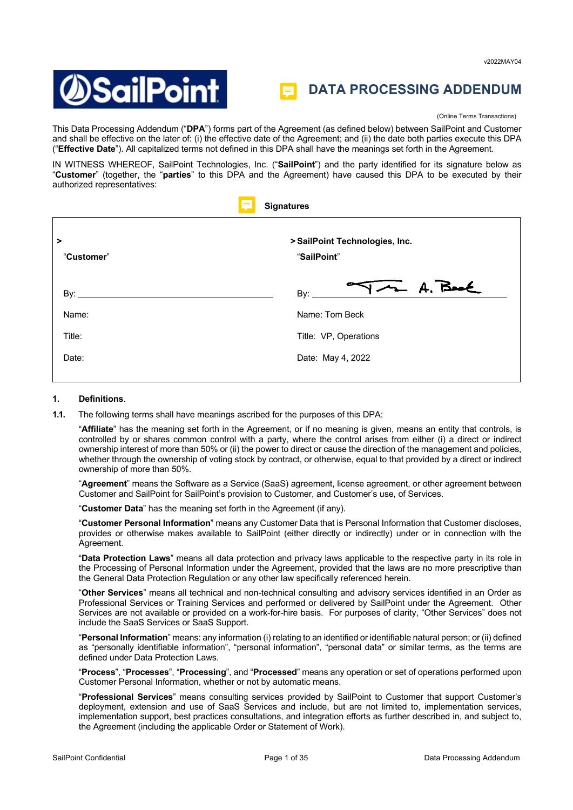

# **DATA PROCESSING ADDENDUM**

(Online Terms Transactions)

This Data Processing Addendum ("**DPA**") forms part of the Agreement (as defined below) between SailPoint and Customer and shall be effective on the later of: (i) the effective date of the Agreement; and (ii) the date both parties execute this DPA ("**Effective Date**"). All capitalized terms not defined in this DPA shall have the meanings set forth in the Agreement.

IN WITNESS WHEREOF, SailPoint Technologies, Inc. ("**SailPoint**") and the party identified for its signature below as "**Customer**" (together, the "**parties**" to this DPA and the Agreement) have caused this DPA to be executed by their authorized representatives:

| $=$<br><b>Signatures</b> |                                               |  |
|--------------------------|-----------------------------------------------|--|
| ><br>"Customer"          | > SailPoint Technologies, Inc.<br>"SailPoint" |  |
| By: $\qquad \qquad$      | $T-T$ A. Beat<br>By:                          |  |
| Name:                    | Name: Tom Beck                                |  |
| Title:                   | Title: VP, Operations                         |  |
| Date:                    | Date: May 4, 2022                             |  |
|                          |                                               |  |

## **1. Definitions**.

**1.1.** The following terms shall have meanings ascribed for the purposes of this DPA:

"**Affiliate**" has the meaning set forth in the Agreement, or if no meaning is given, means an entity that controls, is controlled by or shares common control with a party, where the control arises from either (i) a direct or indirect ownership interest of more than 50% or (ii) the power to direct or cause the direction of the management and policies, whether through the ownership of voting stock by contract, or otherwise, equal to that provided by a direct or indirect ownership of more than 50%.

"**Agreement**" means the Software as a Service (SaaS) agreement, license agreement, or other agreement between Customer and SailPoint for SailPoint's provision to Customer, and Customer's use, of Services.

"**Customer Data**" has the meaning set forth in the Agreement (if any).

"**Customer Personal Information**" means any Customer Data that is Personal Information that Customer discloses, provides or otherwise makes available to SailPoint (either directly or indirectly) under or in connection with the Agreement.

"**Data Protection Laws**" means all data protection and privacy laws applicable to the respective party in its role in the Processing of Personal Information under the Agreement, provided that the laws are no more prescriptive than the General Data Protection Regulation or any other law specifically referenced herein.

"**Other Services**" means all technical and non-technical consulting and advisory services identified in an Order as Professional Services or Training Services and performed or delivered by SailPoint under the Agreement. Other Services are not available or provided on a work-for-hire basis. For purposes of clarity, "Other Services" does not include the SaaS Services or SaaS Support.

"**Personal Information**" means: any information (i) relating to an identified or identifiable natural person; or (ii) defined as "personally identifiable information", "personal information", "personal data" or similar terms, as the terms are defined under Data Protection Laws.

"**Process**", "**Processes**", "**Processing**", and "**Processed**" means any operation or set of operations performed upon Customer Personal Information, whether or not by automatic means.

"**Professional Services**" means consulting services provided by SailPoint to Customer that support Customer's deployment, extension and use of SaaS Services and include, but are not limited to, implementation services, implementation support, best practices consultations, and integration efforts as further described in, and subject to, the Agreement (including the applicable Order or Statement of Work).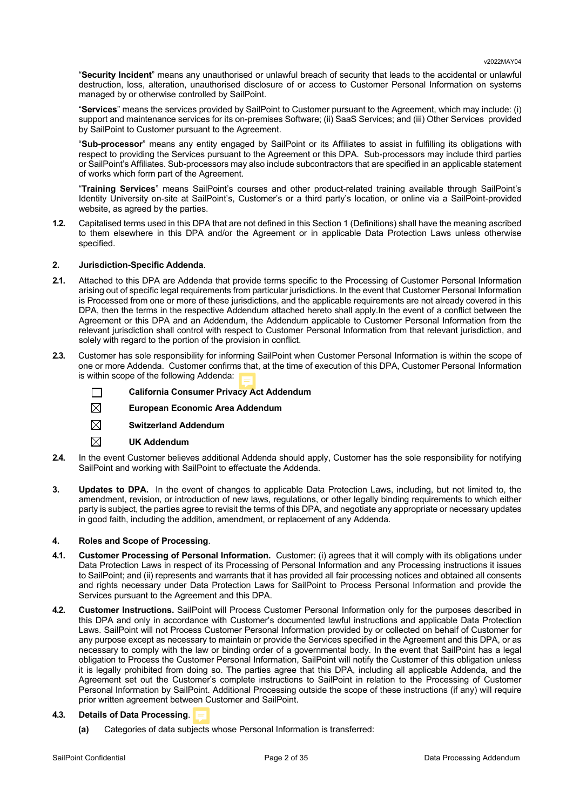"**Security Incident**" means any unauthorised or unlawful breach of security that leads to the accidental or unlawful destruction, loss, alteration, unauthorised disclosure of or access to Customer Personal Information on systems managed by or otherwise controlled by SailPoint.

"**Services**" means the services provided by SailPoint to Customer pursuant to the Agreement, which may include: (i) support and maintenance services for its on-premises Software; (ii) SaaS Services; and (iii) Other Services provided by SailPoint to Customer pursuant to the Agreement.

"**Sub-processor**" means any entity engaged by SailPoint or its Affiliates to assist in fulfilling its obligations with respect to providing the Services pursuant to the Agreement or this DPA. Sub-processors may include third parties or SailPoint's Affiliates. Sub-processors may also include subcontractors that are specified in an applicable statement of works which form part of the Agreement.

"**Training Services**" means SailPoint's courses and other product-related training available through SailPoint's Identity University on-site at SailPoint's, Customer's or a third party's location, or online via a SailPoint-provided website, as agreed by the parties.

**1.2.** Capitalised terms used in this DPA that are not defined in this Section 1 (Definitions) shall have the meaning ascribed to them elsewhere in this DPA and/or the Agreement or in applicable Data Protection Laws unless otherwise specified.

## **2. Jurisdiction-Specific Addenda**.

- **2.1.** Attached to this DPA are Addenda that provide terms specific to the Processing of Customer Personal Information arising out of specific legal requirements from particular jurisdictions. In the event that Customer Personal Information is Processed from one or more of these jurisdictions, and the applicable requirements are not already covered in this DPA, then the terms in the respective Addendum attached hereto shall apply.In the event of a conflict between the Agreement or this DPA and an Addendum, the Addendum applicable to Customer Personal Information from the relevant jurisdiction shall control with respect to Customer Personal Information from that relevant jurisdiction, and solely with regard to the portion of the provision in conflict.
- **2.3.** Customer has sole responsibility for informing SailPoint when Customer Personal Information is within the scope of one or more Addenda. Customer confirms that, at the time of execution of this DPA, Customer Personal Information is within scope of the following Addenda:
	- **California Consumer Privacy Act Addendum**  П
	- $\boxtimes$ **European Economic Area Addendum**
	- $\boxtimes$ **Switzerland Addendum**
	- $\boxtimes$ **UK Addendum**
- **2.4.** In the event Customer believes additional Addenda should apply, Customer has the sole responsibility for notifying SailPoint and working with SailPoint to effectuate the Addenda.
- **3. Updates to DPA.** In the event of changes to applicable Data Protection Laws, including, but not limited to, the amendment, revision, or introduction of new laws, regulations, or other legally binding requirements to which either party is subject, the parties agree to revisit the terms of this DPA, and negotiate any appropriate or necessary updates in good faith, including the addition, amendment, or replacement of any Addenda.

## **4. Roles and Scope of Processing**.

- **4.1. Customer Processing of Personal Information.** Customer: (i) agrees that it will comply with its obligations under Data Protection Laws in respect of its Processing of Personal Information and any Processing instructions it issues to SailPoint; and (ii) represents and warrants that it has provided all fair processing notices and obtained all consents and rights necessary under Data Protection Laws for SailPoint to Process Personal Information and provide the Services pursuant to the Agreement and this DPA.
- **4.2. Customer Instructions.** SailPoint will Process Customer Personal Information only for the purposes described in this DPA and only in accordance with Customer's documented lawful instructions and applicable Data Protection Laws. SailPoint will not Process Customer Personal Information provided by or collected on behalf of Customer for any purpose except as necessary to maintain or provide the Services specified in the Agreement and this DPA, or as necessary to comply with the law or binding order of a governmental body. In the event that SailPoint has a legal obligation to Process the Customer Personal Information, SailPoint will notify the Customer of this obligation unless it is legally prohibited from doing so. The parties agree that this DPA, including all applicable Addenda, and the Agreement set out the Customer's complete instructions to SailPoint in relation to the Processing of Customer Personal Information by SailPoint. Additional Processing outside the scope of these instructions (if any) will require prior written agreement between Customer and SailPoint.
- **4.3. Details of Data Processing**.
	- **(a)** Categories of data subjects whose Personal Information is transferred: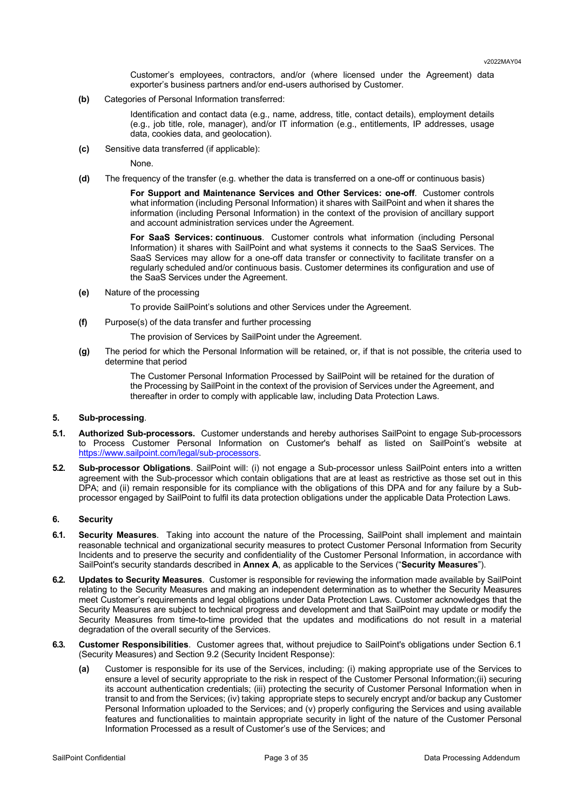Customer's employees, contractors, and/or (where licensed under the Agreement) data exporter's business partners and/or end-users authorised by Customer.

**(b)** Categories of Personal Information transferred:

Identification and contact data (e.g., name, address, title, contact details), employment details (e.g., job title, role, manager), and/or IT information (e.g., entitlements, IP addresses, usage data, cookies data, and geolocation).

**(c)** Sensitive data transferred (if applicable):

None.

**(d)** The frequency of the transfer (e.g. whether the data is transferred on a one-off or continuous basis)

**For Support and Maintenance Services and Other Services: one-off**. Customer controls what information (including Personal Information) it shares with SailPoint and when it shares the information (including Personal Information) in the context of the provision of ancillary support and account administration services under the Agreement.

**For SaaS Services: continuous**. Customer controls what information (including Personal Information) it shares with SailPoint and what systems it connects to the SaaS Services. The SaaS Services may allow for a one-off data transfer or connectivity to facilitate transfer on a regularly scheduled and/or continuous basis. Customer determines its configuration and use of the SaaS Services under the Agreement.

**(e)** Nature of the processing

To provide SailPoint's solutions and other Services under the Agreement.

**(f)** Purpose(s) of the data transfer and further processing

The provision of Services by SailPoint under the Agreement.

**(g)** The period for which the Personal Information will be retained, or, if that is not possible, the criteria used to determine that period

> The Customer Personal Information Processed by SailPoint will be retained for the duration of the Processing by SailPoint in the context of the provision of Services under the Agreement, and thereafter in order to comply with applicable law, including Data Protection Laws.

## **5. Sub-processing**.

- **5.1. Authorized Sub-processors.** Customer understands and hereby authorises SailPoint to engage Sub-processors to Process Customer Personal Information on Customer's behalf as listed on SailPoint's website at https://www.sailpoint.com/legal/sub-processors.
- **5.2. Sub-processor Obligations**. SailPoint will: (i) not engage a Sub-processor unless SailPoint enters into a written agreement with the Sub-processor which contain obligations that are at least as restrictive as those set out in this DPA; and (ii) remain responsible for its compliance with the obligations of this DPA and for any failure by a Subprocessor engaged by SailPoint to fulfil its data protection obligations under the applicable Data Protection Laws.

## **6. Security**

- **6.1. Security Measures**. Taking into account the nature of the Processing, SailPoint shall implement and maintain reasonable technical and organizational security measures to protect Customer Personal Information from Security Incidents and to preserve the security and confidentiality of the Customer Personal Information, in accordance with SailPoint's security standards described in **Annex A**, as applicable to the Services ("**Security Measures**").
- **6.2. Updates to Security Measures**. Customer is responsible for reviewing the information made available by SailPoint relating to the Security Measures and making an independent determination as to whether the Security Measures meet Customer's requirements and legal obligations under Data Protection Laws. Customer acknowledges that the Security Measures are subject to technical progress and development and that SailPoint may update or modify the Security Measures from time-to-time provided that the updates and modifications do not result in a material degradation of the overall security of the Services.
- **6.3. Customer Responsibilities**. Customer agrees that, without prejudice to SailPoint's obligations under Section 6.1 (Security Measures) and Section 9.2 (Security Incident Response):
	- **(a)** Customer is responsible for its use of the Services, including: (i) making appropriate use of the Services to ensure a level of security appropriate to the risk in respect of the Customer Personal Information;(ii) securing its account authentication credentials; (iii) protecting the security of Customer Personal Information when in transit to and from the Services; (iv) taking appropriate steps to securely encrypt and/or backup any Customer Personal Information uploaded to the Services; and (v) properly configuring the Services and using available features and functionalities to maintain appropriate security in light of the nature of the Customer Personal Information Processed as a result of Customer's use of the Services; and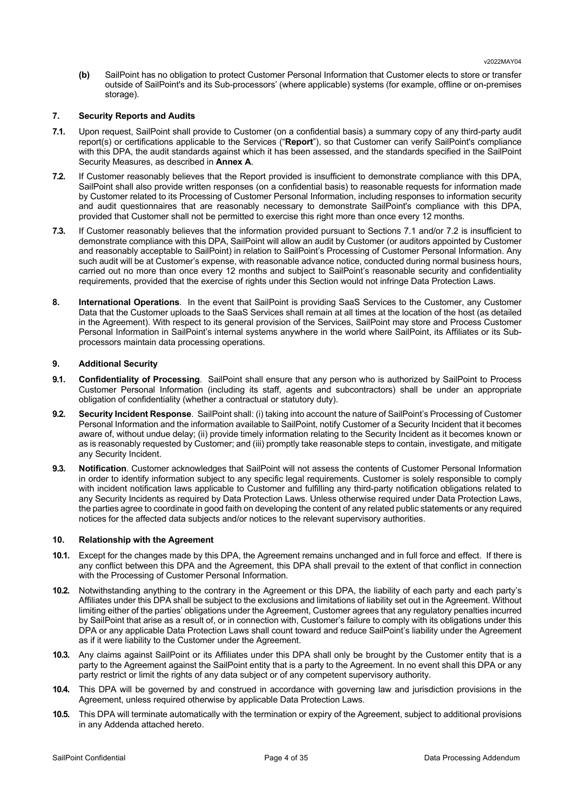**(b)** SailPoint has no obligation to protect Customer Personal Information that Customer elects to store or transfer outside of SailPoint's and its Sub-processors' (where applicable) systems (for example, offline or on-premises storage).

## **7. Security Reports and Audits**

- **7.1.** Upon request, SailPoint shall provide to Customer (on a confidential basis) a summary copy of any third-party audit report(s) or certifications applicable to the Services ("**Report**"), so that Customer can verify SailPoint's compliance with this DPA, the audit standards against which it has been assessed, and the standards specified in the SailPoint Security Measures, as described in **Annex A**.
- **7.2.** If Customer reasonably believes that the Report provided is insufficient to demonstrate compliance with this DPA, SailPoint shall also provide written responses (on a confidential basis) to reasonable requests for information made by Customer related to its Processing of Customer Personal Information, including responses to information security and audit questionnaires that are reasonably necessary to demonstrate SailPoint's compliance with this DPA, provided that Customer shall not be permitted to exercise this right more than once every 12 months.
- **7.3.** If Customer reasonably believes that the information provided pursuant to Sections 7.1 and/or 7.2 is insufficient to demonstrate compliance with this DPA, SailPoint will allow an audit by Customer (or auditors appointed by Customer and reasonably acceptable to SailPoint) in relation to SailPoint's Processing of Customer Personal Information. Any such audit will be at Customer's expense, with reasonable advance notice, conducted during normal business hours, carried out no more than once every 12 months and subject to SailPoint's reasonable security and confidentiality requirements, provided that the exercise of rights under this Section would not infringe Data Protection Laws.
- **8. International Operations**. In the event that SailPoint is providing SaaS Services to the Customer, any Customer Data that the Customer uploads to the SaaS Services shall remain at all times at the location of the host (as detailed in the Agreement). With respect to its general provision of the Services, SailPoint may store and Process Customer Personal Information in SailPoint's internal systems anywhere in the world where SailPoint, its Affiliates or its Subprocessors maintain data processing operations.

## **9. Additional Security**

- **9.1. Confidentiality of Processing**. SailPoint shall ensure that any person who is authorized by SailPoint to Process Customer Personal Information (including its staff, agents and subcontractors) shall be under an appropriate obligation of confidentiality (whether a contractual or statutory duty).
- **9.2. Security Incident Response**. SailPoint shall: (i) taking into account the nature of SailPoint's Processing of Customer Personal Information and the information available to SailPoint, notify Customer of a Security Incident that it becomes aware of, without undue delay; (ii) provide timely information relating to the Security Incident as it becomes known or as is reasonably requested by Customer; and (iii) promptly take reasonable steps to contain, investigate, and mitigate any Security Incident.
- **9.3. Notification**. Customer acknowledges that SailPoint will not assess the contents of Customer Personal Information in order to identify information subject to any specific legal requirements. Customer is solely responsible to comply with incident notification laws applicable to Customer and fulfilling any third-party notification obligations related to any Security Incidents as required by Data Protection Laws. Unless otherwise required under Data Protection Laws, the parties agree to coordinate in good faith on developing the content of any related public statements or any required notices for the affected data subjects and/or notices to the relevant supervisory authorities.

#### **10. Relationship with the Agreement**

- **10.1.** Except for the changes made by this DPA, the Agreement remains unchanged and in full force and effect. If there is any conflict between this DPA and the Agreement, this DPA shall prevail to the extent of that conflict in connection with the Processing of Customer Personal Information.
- **10.2.** Notwithstanding anything to the contrary in the Agreement or this DPA, the liability of each party and each party's Affiliates under this DPA shall be subject to the exclusions and limitations of liability set out in the Agreement. Without limiting either of the parties' obligations under the Agreement, Customer agrees that any regulatory penalties incurred by SailPoint that arise as a result of, or in connection with, Customer's failure to comply with its obligations under this DPA or any applicable Data Protection Laws shall count toward and reduce SailPoint's liability under the Agreement as if it were liability to the Customer under the Agreement.
- **10.3.** Any claims against SailPoint or its Affiliates under this DPA shall only be brought by the Customer entity that is a party to the Agreement against the SailPoint entity that is a party to the Agreement. In no event shall this DPA or any party restrict or limit the rights of any data subject or of any competent supervisory authority.
- **10.4.** This DPA will be governed by and construed in accordance with governing law and jurisdiction provisions in the Agreement, unless required otherwise by applicable Data Protection Laws.
- **10.5.** This DPA will terminate automatically with the termination or expiry of the Agreement, subject to additional provisions in any Addenda attached hereto.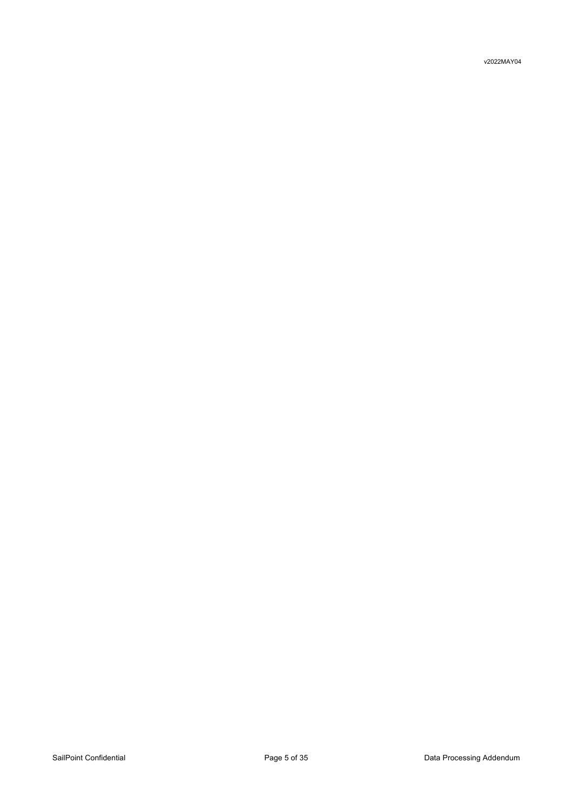v2022MAY04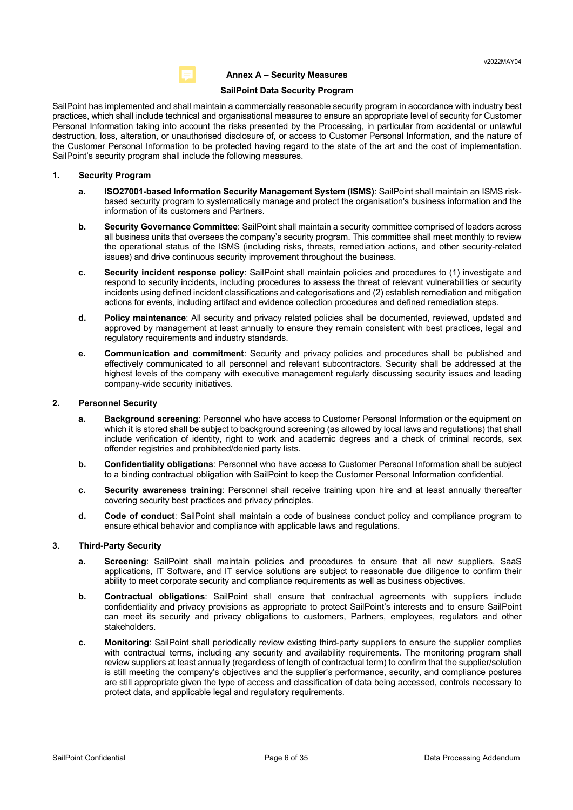

#### **Annex A – Security Measures**

#### **SailPoint Data Security Program**

SailPoint has implemented and shall maintain a commercially reasonable security program in accordance with industry best practices, which shall include technical and organisational measures to ensure an appropriate level of security for Customer Personal Information taking into account the risks presented by the Processing, in particular from accidental or unlawful destruction, loss, alteration, or unauthorised disclosure of, or access to Customer Personal Information, and the nature of the Customer Personal Information to be protected having regard to the state of the art and the cost of implementation. SailPoint's security program shall include the following measures.

## **1. Security Program**

- **a. ISO27001-based Information Security Management System (ISMS)**: SailPoint shall maintain an ISMS riskbased security program to systematically manage and protect the organisation's business information and the information of its customers and Partners.
- **b. Security Governance Committee**: SailPoint shall maintain a security committee comprised of leaders across all business units that oversees the company's security program. This committee shall meet monthly to review the operational status of the ISMS (including risks, threats, remediation actions, and other security-related issues) and drive continuous security improvement throughout the business.
- **c. Security incident response policy**: SailPoint shall maintain policies and procedures to (1) investigate and respond to security incidents, including procedures to assess the threat of relevant vulnerabilities or security incidents using defined incident classifications and categorisations and (2) establish remediation and mitigation actions for events, including artifact and evidence collection procedures and defined remediation steps.
- **d. Policy maintenance**: All security and privacy related policies shall be documented, reviewed, updated and approved by management at least annually to ensure they remain consistent with best practices, legal and regulatory requirements and industry standards.
- **e. Communication and commitment**: Security and privacy policies and procedures shall be published and effectively communicated to all personnel and relevant subcontractors. Security shall be addressed at the highest levels of the company with executive management regularly discussing security issues and leading company-wide security initiatives.

## **2. Personnel Security**

- **a. Background screening**: Personnel who have access to Customer Personal Information or the equipment on which it is stored shall be subject to background screening (as allowed by local laws and regulations) that shall include verification of identity, right to work and academic degrees and a check of criminal records, sex offender registries and prohibited/denied party lists.
- **b. Confidentiality obligations**: Personnel who have access to Customer Personal Information shall be subject to a binding contractual obligation with SailPoint to keep the Customer Personal Information confidential.
- **c. Security awareness training**: Personnel shall receive training upon hire and at least annually thereafter covering security best practices and privacy principles.
- **d. Code of conduct**: SailPoint shall maintain a code of business conduct policy and compliance program to ensure ethical behavior and compliance with applicable laws and regulations.

## **3. Third-Party Security**

- **a. Screening**: SailPoint shall maintain policies and procedures to ensure that all new suppliers, SaaS applications, IT Software, and IT service solutions are subject to reasonable due diligence to confirm their ability to meet corporate security and compliance requirements as well as business objectives.
- **b. Contractual obligations**: SailPoint shall ensure that contractual agreements with suppliers include confidentiality and privacy provisions as appropriate to protect SailPoint's interests and to ensure SailPoint can meet its security and privacy obligations to customers, Partners, employees, regulators and other stakeholders.
- **c. Monitoring**: SailPoint shall periodically review existing third-party suppliers to ensure the supplier complies with contractual terms, including any security and availability requirements. The monitoring program shall review suppliers at least annually (regardless of length of contractual term) to confirm that the supplier/solution is still meeting the company's objectives and the supplier's performance, security, and compliance postures are still appropriate given the type of access and classification of data being accessed, controls necessary to protect data, and applicable legal and regulatory requirements.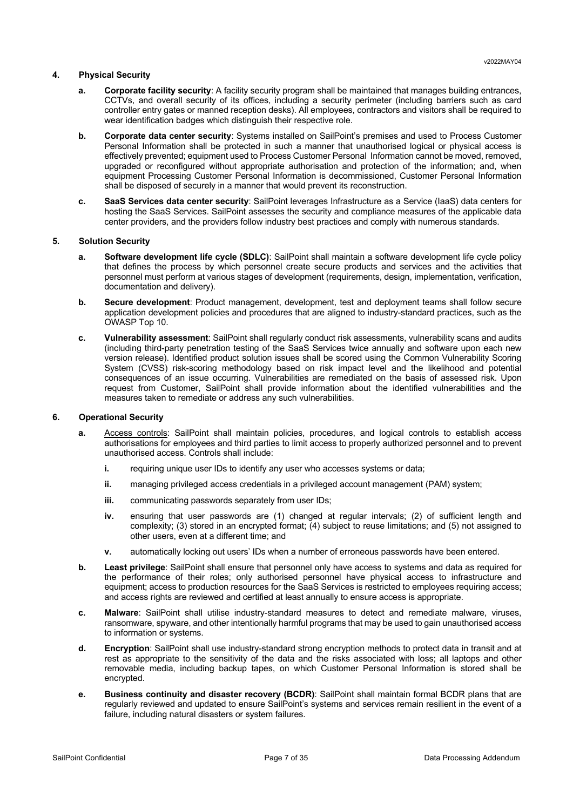## **4. Physical Security**

- **a. Corporate facility security**: A facility security program shall be maintained that manages building entrances, CCTVs, and overall security of its offices, including a security perimeter (including barriers such as card controller entry gates or manned reception desks). All employees, contractors and visitors shall be required to wear identification badges which distinguish their respective role.
- **b. Corporate data center security**: Systems installed on SailPoint's premises and used to Process Customer Personal Information shall be protected in such a manner that unauthorised logical or physical access is effectively prevented; equipment used to Process Customer Personal Information cannot be moved, removed, upgraded or reconfigured without appropriate authorisation and protection of the information; and, when equipment Processing Customer Personal Information is decommissioned, Customer Personal Information shall be disposed of securely in a manner that would prevent its reconstruction.
- **c. SaaS Services data center security**: SailPoint leverages Infrastructure as a Service (IaaS) data centers for hosting the SaaS Services. SailPoint assesses the security and compliance measures of the applicable data center providers, and the providers follow industry best practices and comply with numerous standards.

## **5. Solution Security**

- **a. Software development life cycle (SDLC)**: SailPoint shall maintain a software development life cycle policy that defines the process by which personnel create secure products and services and the activities that personnel must perform at various stages of development (requirements, design, implementation, verification, documentation and delivery).
- **b. Secure development**: Product management, development, test and deployment teams shall follow secure application development policies and procedures that are aligned to industry-standard practices, such as the OWASP Top 10.
- **c. Vulnerability assessment**: SailPoint shall regularly conduct risk assessments, vulnerability scans and audits (including third-party penetration testing of the SaaS Services twice annually and software upon each new version release). Identified product solution issues shall be scored using the Common Vulnerability Scoring System (CVSS) risk-scoring methodology based on risk impact level and the likelihood and potential consequences of an issue occurring. Vulnerabilities are remediated on the basis of assessed risk. Upon request from Customer, SailPoint shall provide information about the identified vulnerabilities and the measures taken to remediate or address any such vulnerabilities.

## **6. Operational Security**

- **a.** Access controls: SailPoint shall maintain policies, procedures, and logical controls to establish access authorisations for employees and third parties to limit access to properly authorized personnel and to prevent unauthorised access. Controls shall include:
	- **i.** requiring unique user IDs to identify any user who accesses systems or data;
	- **ii.** managing privileged access credentials in a privileged account management (PAM) system;
	- **iii.** communicating passwords separately from user IDs;
	- **iv.** ensuring that user passwords are (1) changed at regular intervals; (2) of sufficient length and complexity; (3) stored in an encrypted format; (4) subject to reuse limitations; and (5) not assigned to other users, even at a different time; and
	- **v.** automatically locking out users' IDs when a number of erroneous passwords have been entered.
- **b. Least privilege**: SailPoint shall ensure that personnel only have access to systems and data as required for the performance of their roles; only authorised personnel have physical access to infrastructure and equipment; access to production resources for the SaaS Services is restricted to employees requiring access; and access rights are reviewed and certified at least annually to ensure access is appropriate.
- **c. Malware**: SailPoint shall utilise industry-standard measures to detect and remediate malware, viruses, ransomware, spyware, and other intentionally harmful programs that may be used to gain unauthorised access to information or systems.
- **d. Encryption**: SailPoint shall use industry-standard strong encryption methods to protect data in transit and at rest as appropriate to the sensitivity of the data and the risks associated with loss; all laptops and other removable media, including backup tapes, on which Customer Personal Information is stored shall be encrypted.
- **e. Business continuity and disaster recovery (BCDR)**: SailPoint shall maintain formal BCDR plans that are regularly reviewed and updated to ensure SailPoint's systems and services remain resilient in the event of a failure, including natural disasters or system failures.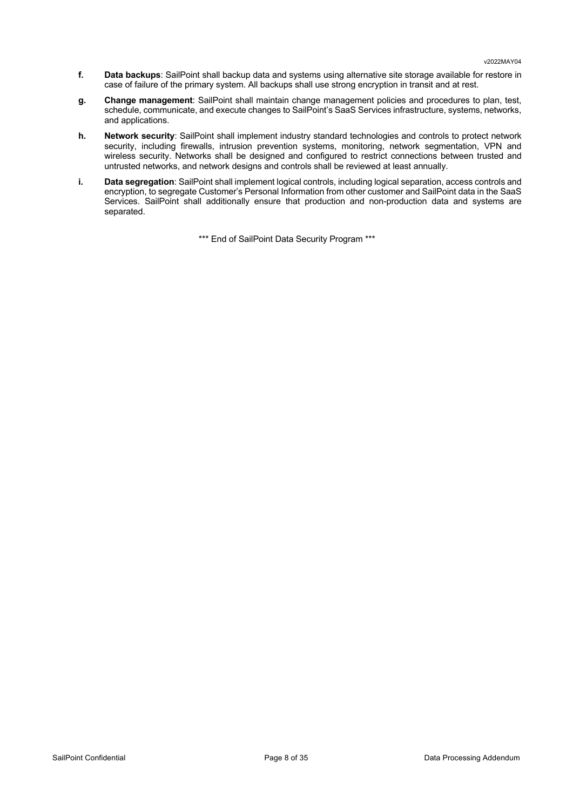- **f. Data backups**: SailPoint shall backup data and systems using alternative site storage available for restore in case of failure of the primary system. All backups shall use strong encryption in transit and at rest.
- **g. Change management**: SailPoint shall maintain change management policies and procedures to plan, test, schedule, communicate, and execute changes to SailPoint's SaaS Services infrastructure, systems, networks, and applications.
- **h. Network security**: SailPoint shall implement industry standard technologies and controls to protect network security, including firewalls, intrusion prevention systems, monitoring, network segmentation, VPN and wireless security. Networks shall be designed and configured to restrict connections between trusted and untrusted networks, and network designs and controls shall be reviewed at least annually.
- **i. Data segregation**: SailPoint shall implement logical controls, including logical separation, access controls and encryption, to segregate Customer's Personal Information from other customer and SailPoint data in the SaaS Services. SailPoint shall additionally ensure that production and non-production data and systems are separated.

\*\*\* End of SailPoint Data Security Program \*\*\*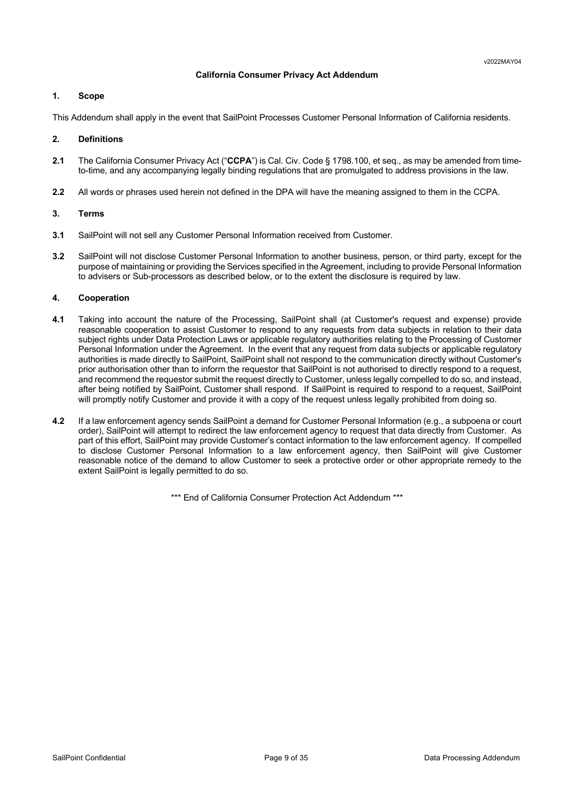## **California Consumer Privacy Act Addendum**

## **1. Scope**

This Addendum shall apply in the event that SailPoint Processes Customer Personal Information of California residents.

## **2. Definitions**

- **2.1** The California Consumer Privacy Act ("**CCPA**") is Cal. Civ. Code § 1798.100, et seq., as may be amended from timeto-time, and any accompanying legally binding regulations that are promulgated to address provisions in the law.
- **2.2** All words or phrases used herein not defined in the DPA will have the meaning assigned to them in the CCPA.

#### **3. Terms**

- **3.1** SailPoint will not sell any Customer Personal Information received from Customer.
- **3.2** SailPoint will not disclose Customer Personal Information to another business, person, or third party, except for the purpose of maintaining or providing the Services specified in the Agreement, including to provide Personal Information to advisers or Sub-processors as described below, or to the extent the disclosure is required by law.

## **4. Cooperation**

- **4.1** Taking into account the nature of the Processing, SailPoint shall (at Customer's request and expense) provide reasonable cooperation to assist Customer to respond to any requests from data subjects in relation to their data subject rights under Data Protection Laws or applicable regulatory authorities relating to the Processing of Customer Personal Information under the Agreement. In the event that any request from data subjects or applicable regulatory authorities is made directly to SailPoint, SailPoint shall not respond to the communication directly without Customer's prior authorisation other than to inform the requestor that SailPoint is not authorised to directly respond to a request, and recommend the requestor submit the request directly to Customer, unless legally compelled to do so, and instead, after being notified by SailPoint, Customer shall respond. If SailPoint is required to respond to a request, SailPoint will promptly notify Customer and provide it with a copy of the request unless legally prohibited from doing so.
- **4.2** If a law enforcement agency sends SailPoint a demand for Customer Personal Information (e.g., a subpoena or court order), SailPoint will attempt to redirect the law enforcement agency to request that data directly from Customer. As part of this effort, SailPoint may provide Customer's contact information to the law enforcement agency. If compelled to disclose Customer Personal Information to a law enforcement agency, then SailPoint will give Customer reasonable notice of the demand to allow Customer to seek a protective order or other appropriate remedy to the extent SailPoint is legally permitted to do so.

\*\*\* End of California Consumer Protection Act Addendum \*\*\*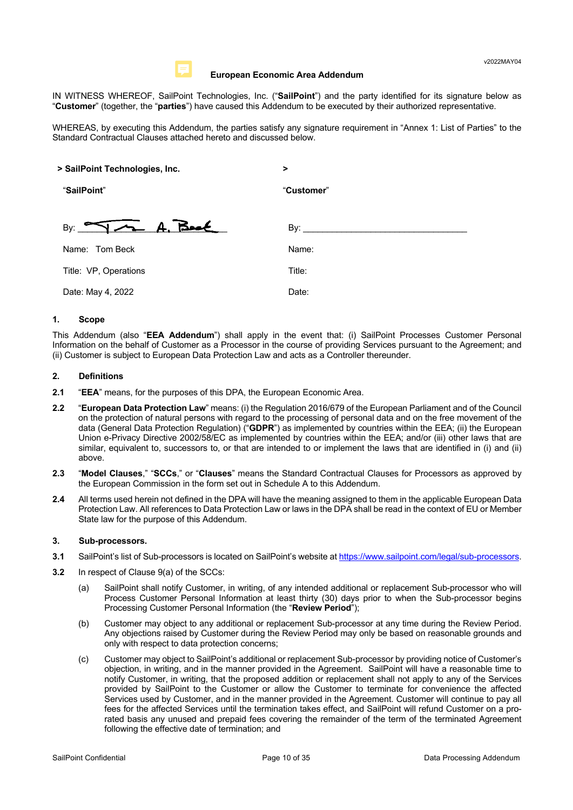## **European Economic Area Addendum**

IN WITNESS WHEREOF, SailPoint Technologies, Inc. ("**SailPoint**") and the party identified for its signature below as "**Customer**" (together, the "**parties**") have caused this Addendum to be executed by their authorized representative.

WHEREAS, by executing this Addendum, the parties satisfy any signature requirement in "Annex 1: List of Parties" to the Standard Contractual Clauses attached hereto and discussed below.

| > SailPoint Technologies, Inc. | >          |  |
|--------------------------------|------------|--|
| "SailPoint"                    | "Customer" |  |
| $A$ Book<br>By:                | By:        |  |
| Name: Tom Beck                 | Name:      |  |
| Title: VP, Operations          | Title:     |  |
| Date: May 4, 2022              | Date:      |  |

## **1. Scope**

This Addendum (also "**EEA Addendum**") shall apply in the event that: (i) SailPoint Processes Customer Personal Information on the behalf of Customer as a Processor in the course of providing Services pursuant to the Agreement; and (ii) Customer is subject to European Data Protection Law and acts as a Controller thereunder.

## **2. Definitions**

- **2.1** "**EEA**" means, for the purposes of this DPA, the European Economic Area.
- **2.2** "**European Data Protection Law**" means: (i) the Regulation 2016/679 of the European Parliament and of the Council on the protection of natural persons with regard to the processing of personal data and on the free movement of the data (General Data Protection Regulation) ("**GDPR**") as implemented by countries within the EEA; (ii) the European Union e-Privacy Directive 2002/58/EC as implemented by countries within the EEA; and/or (iii) other laws that are similar, equivalent to, successors to, or that are intended to or implement the laws that are identified in (i) and (ii) above.
- **2.3** "**Model Clauses**," "**SCCs**," or "**Clauses**" means the Standard Contractual Clauses for Processors as approved by the European Commission in the form set out in Schedule A to this Addendum.
- **2.4** All terms used herein not defined in the DPA will have the meaning assigned to them in the applicable European Data Protection Law. All references to Data Protection Law or laws in the DPA shall be read in the context of EU or Member State law for the purpose of this Addendum.

## **3. Sub-processors.**

- **3.1** SailPoint's list of Sub-processors is located on SailPoint's website at https://www.sailpoint.com/legal/sub-processors.
- **3.2** In respect of Clause 9(a) of the SCCs:
	- (a) SailPoint shall notify Customer, in writing, of any intended additional or replacement Sub-processor who will Process Customer Personal Information at least thirty (30) days prior to when the Sub-processor begins Processing Customer Personal Information (the "**Review Period**");
	- (b) Customer may object to any additional or replacement Sub-processor at any time during the Review Period. Any objections raised by Customer during the Review Period may only be based on reasonable grounds and only with respect to data protection concerns;
	- (c) Customer may object to SailPoint's additional or replacement Sub-processor by providing notice of Customer's objection, in writing, and in the manner provided in the Agreement. SailPoint will have a reasonable time to notify Customer, in writing, that the proposed addition or replacement shall not apply to any of the Services provided by SailPoint to the Customer or allow the Customer to terminate for convenience the affected Services used by Customer, and in the manner provided in the Agreement. Customer will continue to pay all fees for the affected Services until the termination takes effect, and SailPoint will refund Customer on a prorated basis any unused and prepaid fees covering the remainder of the term of the terminated Agreement following the effective date of termination; and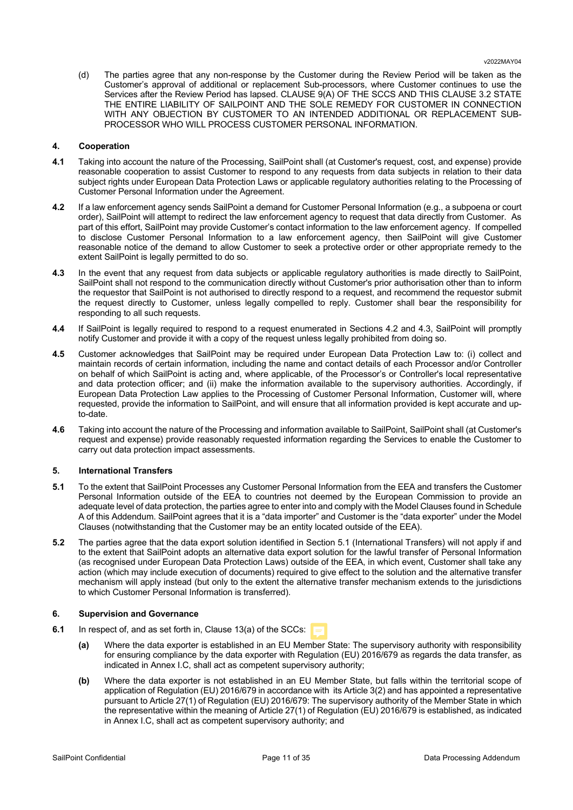(d) The parties agree that any non-response by the Customer during the Review Period will be taken as the Customer's approval of additional or replacement Sub-processors, where Customer continues to use the Services after the Review Period has lapsed. CLAUSE 9(A) OF THE SCCS AND THIS CLAUSE 3.2 STATE THE ENTIRE LIABILITY OF SAILPOINT AND THE SOLE REMEDY FOR CUSTOMER IN CONNECTION WITH ANY OBJECTION BY CUSTOMER TO AN INTENDED ADDITIONAL OR REPLACEMENT SUB-PROCESSOR WHO WILL PROCESS CUSTOMER PERSONAL INFORMATION.

## **4. Cooperation**

- **4.1** Taking into account the nature of the Processing, SailPoint shall (at Customer's request, cost, and expense) provide reasonable cooperation to assist Customer to respond to any requests from data subjects in relation to their data subiect rights under European Data Protection Laws or applicable regulatory authorities relating to the Processing of Customer Personal Information under the Agreement.
- **4.2** If a law enforcement agency sends SailPoint a demand for Customer Personal Information (e.g., a subpoena or court order), SailPoint will attempt to redirect the law enforcement agency to request that data directly from Customer. As part of this effort, SailPoint may provide Customer's contact information to the law enforcement agency. If compelled to disclose Customer Personal Information to a law enforcement agency, then SailPoint will give Customer reasonable notice of the demand to allow Customer to seek a protective order or other appropriate remedy to the extent SailPoint is legally permitted to do so.
- **4.3** In the event that any request from data subjects or applicable regulatory authorities is made directly to SailPoint, SailPoint shall not respond to the communication directly without Customer's prior authorisation other than to inform the requestor that SailPoint is not authorised to directly respond to a request, and recommend the requestor submit the request directly to Customer, unless legally compelled to reply. Customer shall bear the responsibility for responding to all such requests.
- **4.4** If SailPoint is legally required to respond to a request enumerated in Sections 4.2 and 4.3, SailPoint will promptly notify Customer and provide it with a copy of the request unless legally prohibited from doing so.
- **4.5** Customer acknowledges that SailPoint may be required under European Data Protection Law to: (i) collect and maintain records of certain information, including the name and contact details of each Processor and/or Controller on behalf of which SailPoint is acting and, where applicable, of the Processor's or Controller's local representative and data protection officer; and (ii) make the information available to the supervisory authorities. Accordingly, if European Data Protection Law applies to the Processing of Customer Personal Information, Customer will, where requested, provide the information to SailPoint, and will ensure that all information provided is kept accurate and upto-date.
- **4.6** Taking into account the nature of the Processing and information available to SailPoint, SailPoint shall (at Customer's request and expense) provide reasonably requested information regarding the Services to enable the Customer to carry out data protection impact assessments.

#### **5. International Transfers**

- **5.1** To the extent that SailPoint Processes any Customer Personal Information from the EEA and transfers the Customer Personal Information outside of the EEA to countries not deemed by the European Commission to provide an adequate level of data protection, the parties agree to enter into and comply with the Model Clauses found in Schedule A of this Addendum. SailPoint agrees that it is a "data importer" and Customer is the "data exporter" under the Model Clauses (notwithstanding that the Customer may be an entity located outside of the EEA).
- **5.2** The parties agree that the data export solution identified in Section 5.1 (International Transfers) will not apply if and to the extent that SailPoint adopts an alternative data export solution for the lawful transfer of Personal Information (as recognised under European Data Protection Laws) outside of the EEA, in which event, Customer shall take any action (which may include execution of documents) required to give effect to the solution and the alternative transfer mechanism will apply instead (but only to the extent the alternative transfer mechanism extends to the jurisdictions to which Customer Personal Information is transferred).

#### **6. Supervision and Governance**

- **6.1** In respect of, and as set forth in, Clause 13(a) of the SCCs:
	- **(a)** Where the data exporter is established in an EU Member State: The supervisory authority with responsibility for ensuring compliance by the data exporter with Regulation (EU) 2016/679 as regards the data transfer, as indicated in Annex I.C, shall act as competent supervisory authority;
	- **(b)** Where the data exporter is not established in an EU Member State, but falls within the territorial scope of application of Regulation (EU) 2016/679 in accordance with its Article 3(2) and has appointed a representative pursuant to Article 27(1) of Regulation (EU) 2016/679: The supervisory authority of the Member State in which the representative within the meaning of Article 27(1) of Regulation (EU) 2016/679 is established, as indicated in Annex I.C, shall act as competent supervisory authority; and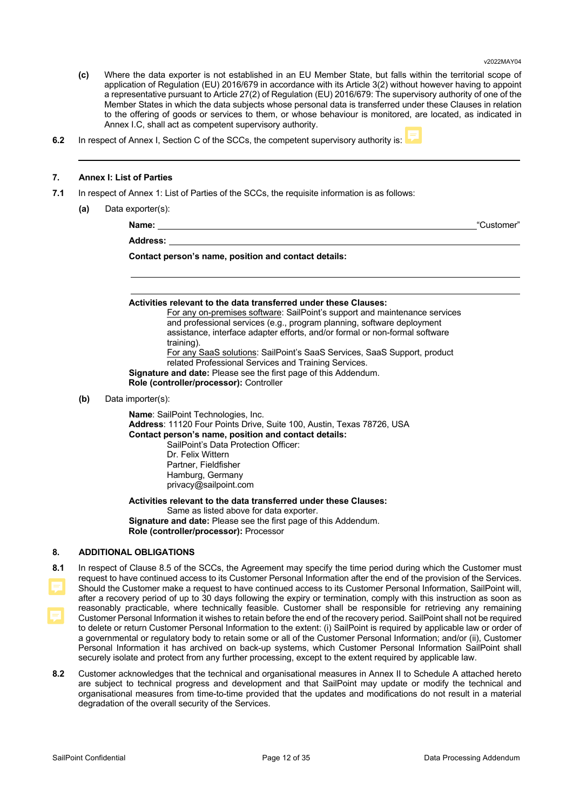- **(c)** Where the data exporter is not established in an EU Member State, but falls within the territorial scope of application of Regulation (EU) 2016/679 in accordance with its Article 3(2) without however having to appoint a representative pursuant to Article 27(2) of Regulation (EU) 2016/679: The supervisory authority of one of the Member States in which the data subjects whose personal data is transferred under these Clauses in relation to the offering of goods or services to them, or whose behaviour is monitored, are located, as indicated in Annex I.C, shall act as competent supervisory authority.
- **6.2** In respect of Annex I, Section C of the SCCs, the competent supervisory authority is:

## **7. Annex I: List of Parties**

l

- **7.1** In respect of Annex 1: List of Parties of the SCCs, the requisite information is as follows:
	- **(a)** Data exporter(s):

|     |                                                                                                                                                                                                                                                                                                                                                                                                                                                                                                                                                                                | "Customer" |
|-----|--------------------------------------------------------------------------------------------------------------------------------------------------------------------------------------------------------------------------------------------------------------------------------------------------------------------------------------------------------------------------------------------------------------------------------------------------------------------------------------------------------------------------------------------------------------------------------|------------|
|     | <b>Address:</b>                                                                                                                                                                                                                                                                                                                                                                                                                                                                                                                                                                |            |
|     | Contact person's name, position and contact details:                                                                                                                                                                                                                                                                                                                                                                                                                                                                                                                           |            |
|     |                                                                                                                                                                                                                                                                                                                                                                                                                                                                                                                                                                                |            |
|     | Activities relevant to the data transferred under these Clauses:<br>For any on-premises software: SailPoint's support and maintenance services<br>and professional services (e.g., program planning, software deployment<br>assistance, interface adapter efforts, and/or formal or non-formal software<br>training).<br>For any SaaS solutions: SailPoint's SaaS Services, SaaS Support, product<br>related Professional Services and Training Services.<br><b>Signature and date:</b> Please see the first page of this Addendum.<br>Role (controller/processor): Controller |            |
| (b) | Data importer(s):                                                                                                                                                                                                                                                                                                                                                                                                                                                                                                                                                              |            |
|     | <b>Name:</b> SailPoint Technologies, Inc.<br>Address: 11120 Four Points Drive, Suite 100, Austin, Texas 78726, USA<br>Contact person's name, position and contact details:<br>SailPoint's Data Protection Officer:<br>Dr. Felix Wittern<br>Partner, Fieldfisher<br>Hamburg, Germany<br>privacy@sailpoint.com                                                                                                                                                                                                                                                                   |            |
|     | Activities relevant to the data transferred under these Clauses:<br>Same as listed above for data exporter.<br>Signature and date: Please see the first page of this Addendum.<br>Role (controller/processor): Processor                                                                                                                                                                                                                                                                                                                                                       |            |
|     |                                                                                                                                                                                                                                                                                                                                                                                                                                                                                                                                                                                |            |

## **8. ADDITIONAL OBLIGATIONS**

- **8.1** In respect of Clause 8.5 of the SCCs, the Agreement may specify the time period during which the Customer must request to have continued access to its Customer Personal Information after the end of the provision of the Services. Should the Customer make a request to have continued access to its Customer Personal Information, SailPoint will, after a recovery period of up to 30 days following the expiry or termination, comply with this instruction as soon as reasonably practicable, where technically feasible. Customer shall be responsible for retrieving any remaining Customer Personal Information it wishes to retain before the end of the recovery period. SailPoint shall not be required to delete or return Customer Personal Information to the extent: (i) SailPoint is required by applicable law or order of a governmental or regulatory body to retain some or all of the Customer Personal Information; and/or (ii), Customer Personal Information it has archived on back-up systems, which Customer Personal Information SailPoint shall securely isolate and protect from any further processing, except to the extent required by applicable law.
- **8.2** Customer acknowledges that the technical and organisational measures in Annex II to Schedule A attached hereto are subject to technical progress and development and that SailPoint may update or modify the technical and organisational measures from time-to-time provided that the updates and modifications do not result in a material degradation of the overall security of the Services.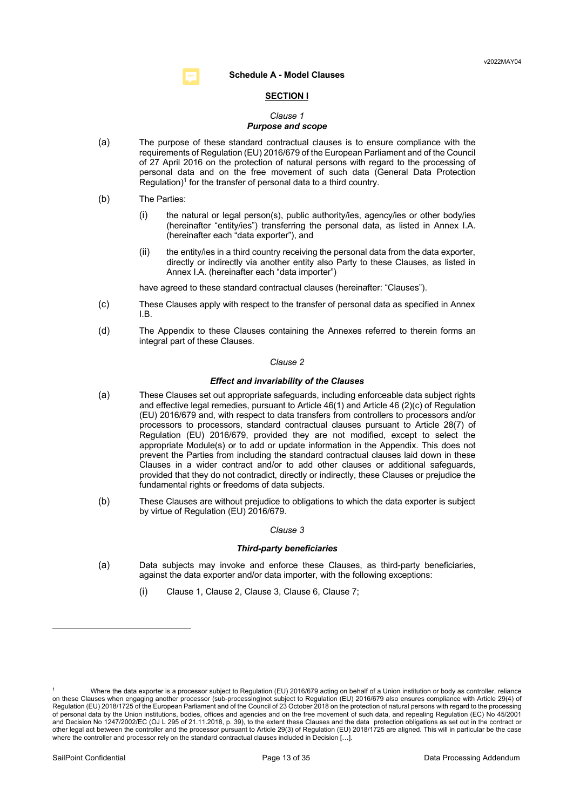**Schedule A - Model Clauses**

## **SECTION I**

#### *Clause 1 Purpose and scope*

- (a) The purpose of these standard contractual clauses is to ensure compliance with the requirements of Regulation (EU) 2016/679 of the European Parliament and of the Council of 27 April 2016 on the protection of natural persons with regard to the processing of personal data and on the free movement of such data (General Data Protection Regulation)<sup>1</sup> for the transfer of personal data to a third country.
- (b) The Parties:
	- (i) the natural or legal person(s), public authority/ies, agency/ies or other body/ies (hereinafter "entity/ies") transferring the personal data, as listed in Annex I.A. (hereinafter each "data exporter"), and
	- (ii) the entity/ies in a third country receiving the personal data from the data exporter, directly or indirectly via another entity also Party to these Clauses, as listed in Annex I.A. (hereinafter each "data importer")

have agreed to these standard contractual clauses (hereinafter: "Clauses").

- (c) These Clauses apply with respect to the transfer of personal data as specified in Annex I.B.
- (d) The Appendix to these Clauses containing the Annexes referred to therein forms an integral part of these Clauses.

## *Clause 2*

## *Effect and invariability of the Clauses*

- (a) These Clauses set out appropriate safeguards, including enforceable data subject rights and effective legal remedies, pursuant to Article 46(1) and Article 46 (2)(c) of Regulation (EU) 2016/679 and, with respect to data transfers from controllers to processors and/or processors to processors, standard contractual clauses pursuant to Article 28(7) of Regulation (EU) 2016/679, provided they are not modified, except to select the appropriate Module(s) or to add or update information in the Appendix. This does not prevent the Parties from including the standard contractual clauses laid down in these Clauses in a wider contract and/or to add other clauses or additional safeguards, provided that they do not contradict, directly or indirectly, these Clauses or prejudice the fundamental rights or freedoms of data subjects.
- (b) These Clauses are without prejudice to obligations to which the data exporter is subject by virtue of Regulation (EU) 2016/679.

## *Clause 3*

## *Third-party beneficiaries*

- (a) Data subjects may invoke and enforce these Clauses, as third-party beneficiaries, against the data exporter and/or data importer, with the following exceptions:
	- (i) Clause 1, Clause 2, Clause 3, Clause 6, Clause 7;

Where the data exporter is a processor subject to Regulation (EU) 2016/679 acting on behalf of a Union institution or body as controller, reliance on these Clauses when engaging another processor (sub-processing)not subject to Regulation (EU) 2016/679 also ensures compliance with Article 29(4) of Regulation (EU) 2018/1725 of the European Parliament and of the Council of 23 October 2018 on the protection of natural persons with regard to the processing of personal data by the Union institutions, bodies, offices and agencies and on the free movement of such data, and repealing Regulation (EC) No 45/2001<br>and Decision No 1247/2002/EC (OJ L 295 of 21.11.2018, p. 39), to the other legal act between the controller and the processor pursuant to Article 29(3) of Regulation (EU) 2018/1725 are aligned. This will in particular be the case where the controller and processor rely on the standard contractual clauses included in Decision [...].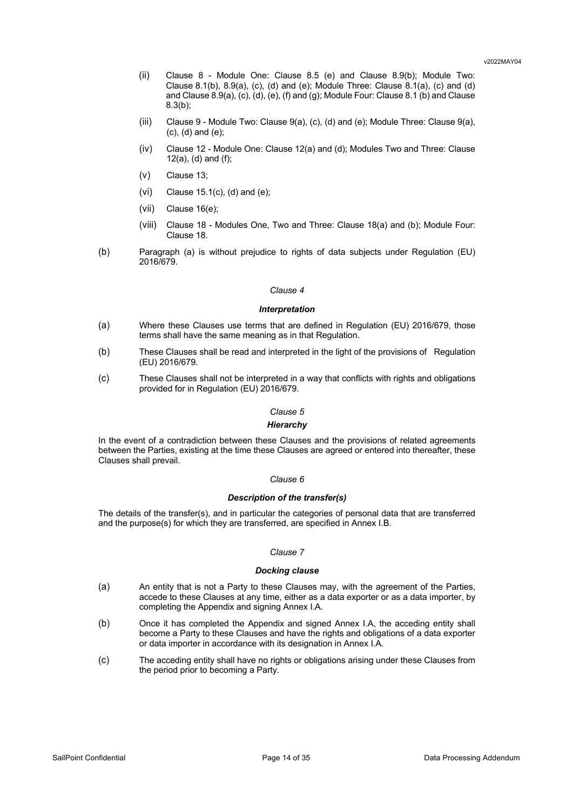- (ii) Clause 8 Module One: Clause 8.5 (e) and Clause 8.9(b); Module Two: Clause 8.1(b), 8.9(a), (c), (d) and (e); Module Three: Clause  $8.1(a)$ , (c) and (d) and Clause 8.9(a), (c), (d), (e), (f) and (g); Module Four: Clause 8.1 (b) and Clause 8.3(b);
- (iii) Clause 9 Module Two: Clause 9(a), (c), (d) and (e); Module Three: Clause 9(a), (c), (d) and (e);
- (iv) Clause 12 Module One: Clause 12(a) and (d); Modules Two and Three: Clause 12(a), (d) and (f);
- (v) Clause 13;
- (vi) Clause 15.1(c), (d) and (e);
- (vii) Clause 16(e);
- (viii) Clause 18 Modules One, Two and Three: Clause 18(a) and (b); Module Four: Clause 18.
- (b) Paragraph (a) is without prejudice to rights of data subjects under Regulation (EU) 2016/679.

#### *Clause 4*

#### *Interpretation*

- (a) Where these Clauses use terms that are defined in Regulation (EU) 2016/679, those terms shall have the same meaning as in that Regulation.
- (b) These Clauses shall be read and interpreted in the light of the provisions of Regulation (EU) 2016/679.
- (c) These Clauses shall not be interpreted in a way that conflicts with rights and obligations provided for in Regulation (EU) 2016/679.

## *Clause 5*

## *Hierarchy*

In the event of a contradiction between these Clauses and the provisions of related agreements between the Parties, existing at the time these Clauses are agreed or entered into thereafter, these Clauses shall prevail.

## *Clause 6*

#### *Description of the transfer(s)*

The details of the transfer(s), and in particular the categories of personal data that are transferred and the purpose(s) for which they are transferred, are specified in Annex I.B.

#### *Clause 7*

#### *Docking clause*

- (a) An entity that is not a Party to these Clauses may, with the agreement of the Parties, accede to these Clauses at any time, either as a data exporter or as a data importer, by completing the Appendix and signing Annex I.A.
- (b) Once it has completed the Appendix and signed Annex I.A, the acceding entity shall become a Party to these Clauses and have the rights and obligations of a data exporter or data importer in accordance with its designation in Annex I.A.
- (c) The acceding entity shall have no rights or obligations arising under these Clauses from the period prior to becoming a Party.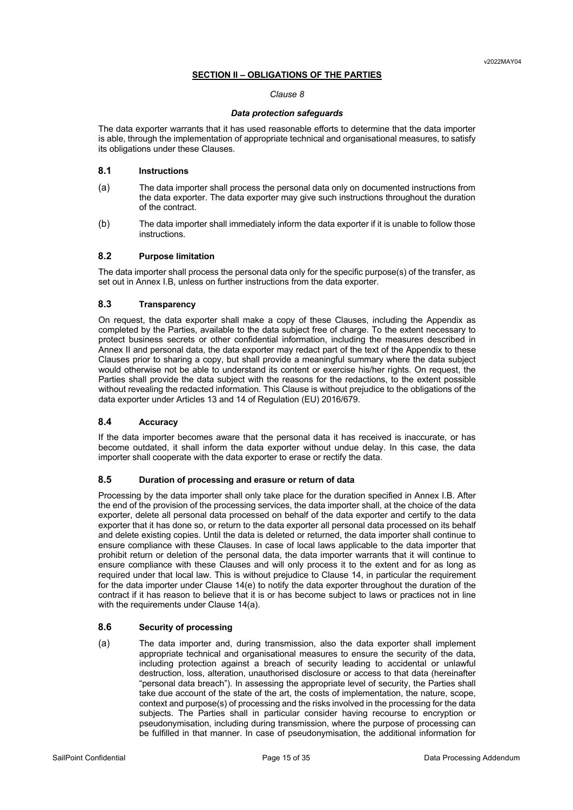## **SECTION II – OBLIGATIONS OF THE PARTIES**

## *Clause 8*

#### *Data protection safeguards*

The data exporter warrants that it has used reasonable efforts to determine that the data importer is able, through the implementation of appropriate technical and organisational measures, to satisfy its obligations under these Clauses.

## **8.1 Instructions**

- (a) The data importer shall process the personal data only on documented instructions from the data exporter. The data exporter may give such instructions throughout the duration of the contract.
- (b) The data importer shall immediately inform the data exporter if it is unable to follow those instructions.

## **8.2 Purpose limitation**

The data importer shall process the personal data only for the specific purpose(s) of the transfer, as set out in Annex I.B, unless on further instructions from the data exporter.

## **8.3 Transparency**

On request, the data exporter shall make a copy of these Clauses, including the Appendix as completed by the Parties, available to the data subject free of charge. To the extent necessary to protect business secrets or other confidential information, including the measures described in Annex II and personal data, the data exporter may redact part of the text of the Appendix to these Clauses prior to sharing a copy, but shall provide a meaningful summary where the data subject would otherwise not be able to understand its content or exercise his/her rights. On request, the Parties shall provide the data subject with the reasons for the redactions, to the extent possible without revealing the redacted information. This Clause is without prejudice to the obligations of the data exporter under Articles 13 and 14 of Regulation (EU) 2016/679.

## **8.4 Accuracy**

If the data importer becomes aware that the personal data it has received is inaccurate, or has become outdated, it shall inform the data exporter without undue delay. In this case, the data importer shall cooperate with the data exporter to erase or rectify the data.

## **8.5 Duration of processing and erasure or return of data**

Processing by the data importer shall only take place for the duration specified in Annex I.B. After the end of the provision of the processing services, the data importer shall, at the choice of the data exporter, delete all personal data processed on behalf of the data exporter and certify to the data exporter that it has done so, or return to the data exporter all personal data processed on its behalf and delete existing copies. Until the data is deleted or returned, the data importer shall continue to ensure compliance with these Clauses. In case of local laws applicable to the data importer that prohibit return or deletion of the personal data, the data importer warrants that it will continue to ensure compliance with these Clauses and will only process it to the extent and for as long as required under that local law. This is without prejudice to Clause 14, in particular the requirement for the data importer under Clause 14(e) to notify the data exporter throughout the duration of the contract if it has reason to believe that it is or has become subject to laws or practices not in line with the requirements under Clause 14(a).

## **8.6 Security of processing**

(a) The data importer and, during transmission, also the data exporter shall implement appropriate technical and organisational measures to ensure the security of the data, including protection against a breach of security leading to accidental or unlawful destruction, loss, alteration, unauthorised disclosure or access to that data (hereinafter "personal data breach"). In assessing the appropriate level of security, the Parties shall take due account of the state of the art, the costs of implementation, the nature, scope, context and purpose(s) of processing and the risks involved in the processing for the data subjects. The Parties shall in particular consider having recourse to encryption or pseudonymisation, including during transmission, where the purpose of processing can be fulfilled in that manner. In case of pseudonymisation, the additional information for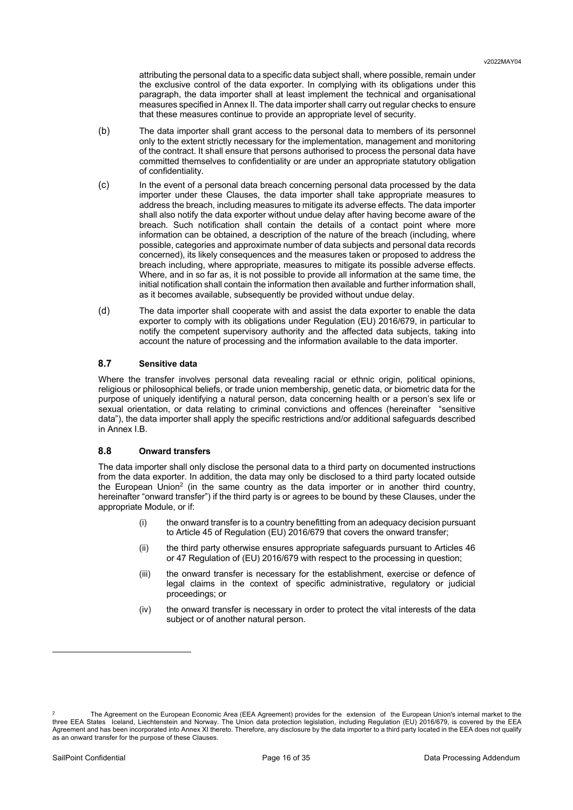attributing the personal data to a specific data subject shall, where possible, remain under the exclusive control of the data exporter. In complying with its obligations under this paragraph, the data importer shall at least implement the technical and organisational measures specified in Annex II. The data importer shall carry out regular checks to ensure that these measures continue to provide an appropriate level of security.

- (b) The data importer shall grant access to the personal data to members of its personnel only to the extent strictly necessary for the implementation, management and monitoring of the contract. It shall ensure that persons authorised to process the personal data have committed themselves to confidentiality or are under an appropriate statutory obligation of confidentiality.
- (c) In the event of a personal data breach concerning personal data processed by the data importer under these Clauses, the data importer shall take appropriate measures to address the breach, including measures to mitigate its adverse effects. The data importer shall also notify the data exporter without undue delay after having become aware of the breach. Such notification shall contain the details of a contact point where more information can be obtained, a description of the nature of the breach (including, where possible, categories and approximate number of data subjects and personal data records concerned), its likely consequences and the measures taken or proposed to address the breach including, where appropriate, measures to mitigate its possible adverse effects. Where, and in so far as, it is not possible to provide all information at the same time, the initial notification shall contain the information then available and further information shall, as it becomes available, subsequently be provided without undue delay.
- (d) The data importer shall cooperate with and assist the data exporter to enable the data exporter to comply with its obligations under Regulation (EU) 2016/679, in particular to notify the competent supervisory authority and the affected data subjects, taking into account the nature of processing and the information available to the data importer.

## **8.7 Sensitive data**

Where the transfer involves personal data revealing racial or ethnic origin, political opinions, religious or philosophical beliefs, or trade union membership, genetic data, or biometric data for the purpose of uniquely identifying a natural person, data concerning health or a person's sex life or sexual orientation, or data relating to criminal convictions and offences (hereinafter "sensitive data"), the data importer shall apply the specific restrictions and/or additional safeguards described in Annex I.B.

## **8.8 Onward transfers**

The data importer shall only disclose the personal data to a third party on documented instructions from the data exporter. In addition, the data may only be disclosed to a third party located outside the European Union<sup>2</sup> (in the same country as the data importer or in another third country, hereinafter "onward transfer") if the third party is or agrees to be bound by these Clauses, under the appropriate Module, or if:

- (i) the onward transfer is to a country benefitting from an adequacy decision pursuant to Article 45 of Regulation (EU) 2016/679 that covers the onward transfer;
- (ii) the third party otherwise ensures appropriate safeguards pursuant to Articles 46 or 47 Regulation of (EU) 2016/679 with respect to the processing in question;
- (iii) the onward transfer is necessary for the establishment, exercise or defence of legal claims in the context of specific administrative, regulatory or judicial proceedings; or
- (iv) the onward transfer is necessary in order to protect the vital interests of the data subject or of another natural person.

The Agreement on the European Economic Area (EEA Agreement) provides for the extension of the European Union's internal market to the 15 and 2016/679, is covered by the EEA<br>three EEA States Iceland, Liechtenstein and Norwa Agreement and has been incorporated into Annex XI thereto. Therefore, any disclosure by the data importer to a third party located in the EEA does not qualify as an onward transfer for the purpose of these Clauses.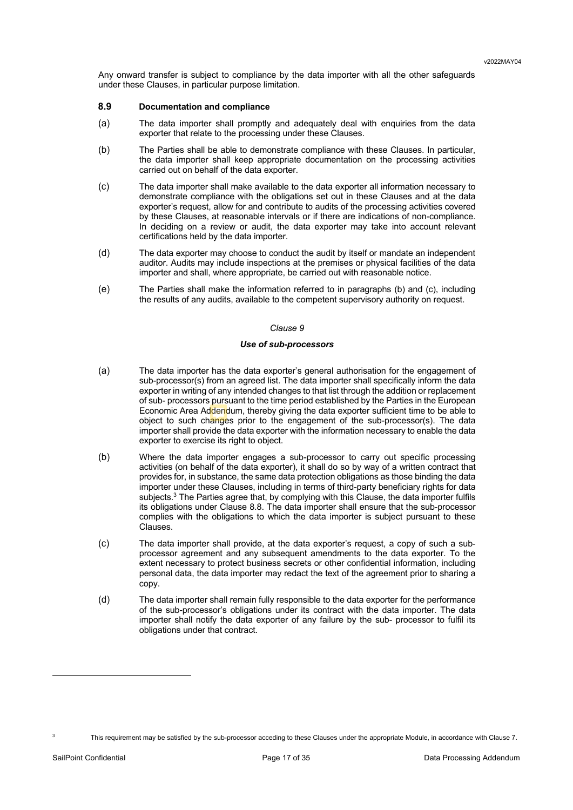Any onward transfer is subject to compliance by the data importer with all the other safeguards under these Clauses, in particular purpose limitation.

## **8.9 Documentation and compliance**

- (a) The data importer shall promptly and adequately deal with enquiries from the data exporter that relate to the processing under these Clauses.
- (b) The Parties shall be able to demonstrate compliance with these Clauses. In particular, the data importer shall keep appropriate documentation on the processing activities carried out on behalf of the data exporter.
- (c) The data importer shall make available to the data exporter all information necessary to demonstrate compliance with the obligations set out in these Clauses and at the data exporter's request, allow for and contribute to audits of the processing activities covered by these Clauses, at reasonable intervals or if there are indications of non-compliance. In deciding on a review or audit, the data exporter may take into account relevant certifications held by the data importer.
- (d) The data exporter may choose to conduct the audit by itself or mandate an independent auditor. Audits may include inspections at the premises or physical facilities of the data importer and shall, where appropriate, be carried out with reasonable notice.
- (e) The Parties shall make the information referred to in paragraphs (b) and (c), including the results of any audits, available to the competent supervisory authority on request.

## *Clause 9*

## *Use of sub-processors*

- (a) The data importer has the data exporter's general authorisation for the engagement of sub-processor(s) from an agreed list. The data importer shall specifically inform the data exporter in writing of any intended changes to that list through the addition or replacement of sub- processors pursuant to the time period established by the Parties in the European Economic Area Addendum, thereby giving the data exporter sufficient time to be able to object to such changes prior to the engagement of the sub-processor(s). The data importer shall provide the data exporter with the information necessary to enable the data exporter to exercise its right to object.
- (b) Where the data importer engages a sub-processor to carry out specific processing activities (on behalf of the data exporter), it shall do so by way of a written contract that provides for, in substance, the same data protection obligations as those binding the data importer under these Clauses, including in terms of third-party beneficiary rights for data subjects.<sup>3</sup> The Parties agree that, by complying with this Clause, the data importer fulfils its obligations under Clause 8.8. The data importer shall ensure that the sub-processor complies with the obligations to which the data importer is subject pursuant to these Clauses.
- (c) The data importer shall provide, at the data exporter's request, a copy of such a subprocessor agreement and any subsequent amendments to the data exporter. To the extent necessary to protect business secrets or other confidential information, including personal data, the data importer may redact the text of the agreement prior to sharing a copy.
- (d) The data importer shall remain fully responsible to the data exporter for the performance of the sub-processor's obligations under its contract with the data importer. The data importer shall notify the data exporter of any failure by the sub- processor to fulfil its obligations under that contract.

This requirement may be satisfied by the sub-processor acceding to these Clauses under the appropriate Module, in accordance with Clause 7.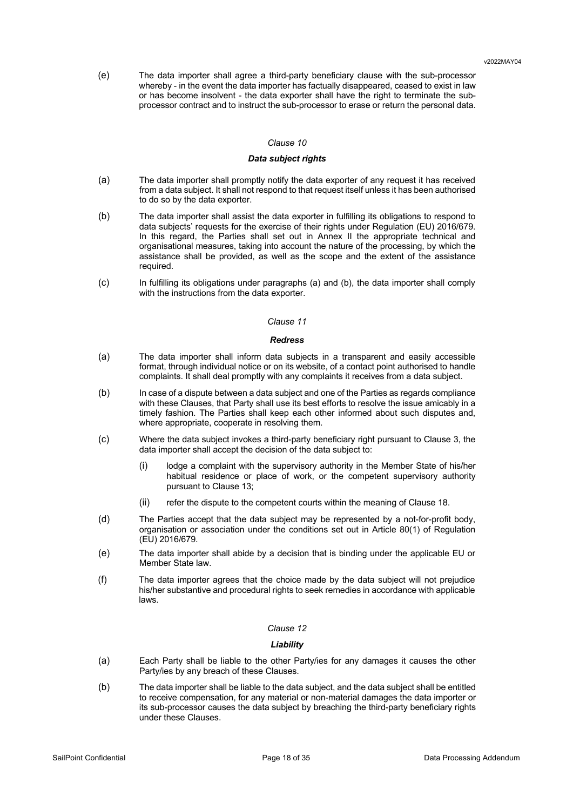(e) The data importer shall agree a third-party beneficiary clause with the sub-processor whereby - in the event the data importer has factually disappeared, ceased to exist in law or has become insolvent - the data exporter shall have the right to terminate the subprocessor contract and to instruct the sub-processor to erase or return the personal data.

#### *Clause 10*

#### *Data subject rights*

- (a) The data importer shall promptly notify the data exporter of any request it has received from a data subject. It shall not respond to that request itself unless it has been authorised to do so by the data exporter.
- (b) The data importer shall assist the data exporter in fulfilling its obligations to respond to data subjects' requests for the exercise of their rights under Regulation (EU) 2016/679. In this regard, the Parties shall set out in Annex II the appropriate technical and organisational measures, taking into account the nature of the processing, by which the assistance shall be provided, as well as the scope and the extent of the assistance required.
- (c) In fulfilling its obligations under paragraphs (a) and (b), the data importer shall comply with the instructions from the data exporter.

#### *Clause 11*

#### *Redress*

- (a) The data importer shall inform data subjects in a transparent and easily accessible format, through individual notice or on its website, of a contact point authorised to handle complaints. It shall deal promptly with any complaints it receives from a data subject.
- (b) In case of a dispute between a data subject and one of the Parties as regards compliance with these Clauses, that Party shall use its best efforts to resolve the issue amicably in a timely fashion. The Parties shall keep each other informed about such disputes and, where appropriate, cooperate in resolving them.
- (c) Where the data subject invokes a third-party beneficiary right pursuant to Clause 3, the data importer shall accept the decision of the data subject to:
	- (i) lodge a complaint with the supervisory authority in the Member State of his/her habitual residence or place of work, or the competent supervisory authority pursuant to Clause 13;
	- (ii) refer the dispute to the competent courts within the meaning of Clause 18.
- (d) The Parties accept that the data subject may be represented by a not-for-profit body, organisation or association under the conditions set out in Article 80(1) of Regulation (EU) 2016/679.
- (e) The data importer shall abide by a decision that is binding under the applicable EU or Member State law.
- (f) The data importer agrees that the choice made by the data subject will not prejudice his/her substantive and procedural rights to seek remedies in accordance with applicable laws.

#### *Clause 12*

## *Liability*

- (a) Each Party shall be liable to the other Party/ies for any damages it causes the other Party/ies by any breach of these Clauses.
- (b) The data importer shall be liable to the data subject, and the data subject shall be entitled to receive compensation, for any material or non-material damages the data importer or its sub-processor causes the data subject by breaching the third-party beneficiary rights under these Clauses.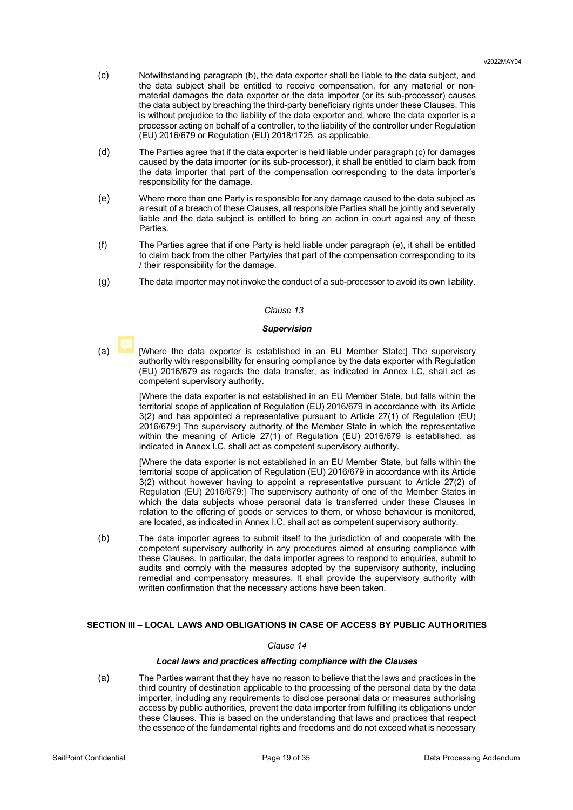- (c) Notwithstanding paragraph (b), the data exporter shall be liable to the data subject, and the data subject shall be entitled to receive compensation, for any material or nonmaterial damages the data exporter or the data importer (or its sub-processor) causes the data subject by breaching the third-party beneficiary rights under these Clauses. This is without prejudice to the liability of the data exporter and, where the data exporter is a processor acting on behalf of a controller, to the liability of the controller under Regulation (EU) 2016/679 or Regulation (EU) 2018/1725, as applicable.
- (d) The Parties agree that if the data exporter is held liable under paragraph (c) for damages caused by the data importer (or its sub-processor), it shall be entitled to claim back from the data importer that part of the compensation corresponding to the data importer's responsibility for the damage.
- (e) Where more than one Party is responsible for any damage caused to the data subject as a result of a breach of these Clauses, all responsible Parties shall be jointly and severally liable and the data subject is entitled to bring an action in court against any of these Parties.
- (f) The Parties agree that if one Party is held liable under paragraph (e), it shall be entitled to claim back from the other Party/ies that part of the compensation corresponding to its / their responsibility for the damage.
- (g) The data importer may not invoke the conduct of a sub-processor to avoid its own liability.

## *Clause 13*

#### *Supervision*

(a) [Where the data exporter is established in an EU Member State:] The supervisory authority with responsibility for ensuring compliance by the data exporter with Regulation (EU) 2016/679 as regards the data transfer, as indicated in Annex I.C, shall act as competent supervisory authority.

> [Where the data exporter is not established in an EU Member State, but falls within the territorial scope of application of Regulation (EU) 2016/679 in accordance with its Article 3(2) and has appointed a representative pursuant to Article 27(1) of Regulation (EU) 2016/679:] The supervisory authority of the Member State in which the representative within the meaning of Article 27(1) of Regulation (EU) 2016/679 is established, as indicated in Annex I.C, shall act as competent supervisory authority.

> [Where the data exporter is not established in an EU Member State, but falls within the territorial scope of application of Regulation (EU) 2016/679 in accordance with its Article 3(2) without however having to appoint a representative pursuant to Article 27(2) of Regulation (EU) 2016/679:] The supervisory authority of one of the Member States in which the data subjects whose personal data is transferred under these Clauses in relation to the offering of goods or services to them, or whose behaviour is monitored, are located, as indicated in Annex I.C, shall act as competent supervisory authority.

(b) The data importer agrees to submit itself to the jurisdiction of and cooperate with the competent supervisory authority in any procedures aimed at ensuring compliance with these Clauses. In particular, the data importer agrees to respond to enquiries, submit to audits and comply with the measures adopted by the supervisory authority, including remedial and compensatory measures. It shall provide the supervisory authority with written confirmation that the necessary actions have been taken.

## **SECTION III – LOCAL LAWS AND OBLIGATIONS IN CASE OF ACCESS BY PUBLIC AUTHORITIES**

## *Clause 14*

#### *Local laws and practices affecting compliance with the Clauses*

(a) The Parties warrant that they have no reason to believe that the laws and practices in the third country of destination applicable to the processing of the personal data by the data importer, including any requirements to disclose personal data or measures authorising access by public authorities, prevent the data importer from fulfilling its obligations under these Clauses. This is based on the understanding that laws and practices that respect the essence of the fundamental rights and freedoms and do not exceed what is necessary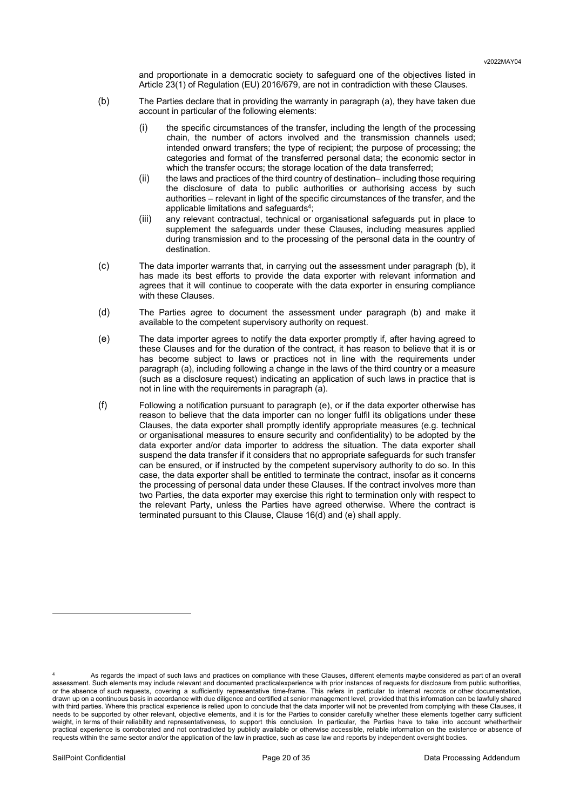and proportionate in a democratic society to safeguard one of the objectives listed in Article 23(1) of Regulation (EU) 2016/679, are not in contradiction with these Clauses.

- (b) The Parties declare that in providing the warranty in paragraph (a), they have taken due account in particular of the following elements:
	- (i) the specific circumstances of the transfer, including the length of the processing chain, the number of actors involved and the transmission channels used; intended onward transfers; the type of recipient; the purpose of processing; the categories and format of the transferred personal data; the economic sector in which the transfer occurs; the storage location of the data transferred;
	- (ii) the laws and practices of the third country of destination– including those requiring the disclosure of data to public authorities or authorising access by such authorities – relevant in light of the specific circumstances of the transfer, and the applicable limitations and safequards $4$ ;
	- (iii) any relevant contractual, technical or organisational safeguards put in place to supplement the safeguards under these Clauses, including measures applied during transmission and to the processing of the personal data in the country of destination.
- (c) The data importer warrants that, in carrying out the assessment under paragraph (b), it has made its best efforts to provide the data exporter with relevant information and agrees that it will continue to cooperate with the data exporter in ensuring compliance with these Clauses.
- (d) The Parties agree to document the assessment under paragraph (b) and make it available to the competent supervisory authority on request.
- (e) The data importer agrees to notify the data exporter promptly if, after having agreed to these Clauses and for the duration of the contract, it has reason to believe that it is or has become subject to laws or practices not in line with the requirements under paragraph (a), including following a change in the laws of the third country or a measure (such as a disclosure request) indicating an application of such laws in practice that is not in line with the requirements in paragraph (a).
- (f) Following a notification pursuant to paragraph (e), or if the data exporter otherwise has reason to believe that the data importer can no longer fulfil its obligations under these Clauses, the data exporter shall promptly identify appropriate measures (e.g. technical or organisational measures to ensure security and confidentiality) to be adopted by the data exporter and/or data importer to address the situation. The data exporter shall suspend the data transfer if it considers that no appropriate safeguards for such transfer can be ensured, or if instructed by the competent supervisory authority to do so. In this case, the data exporter shall be entitled to terminate the contract, insofar as it concerns the processing of personal data under these Clauses. If the contract involves more than two Parties, the data exporter may exercise this right to termination only with respect to the relevant Party, unless the Parties have agreed otherwise. Where the contract is terminated pursuant to this Clause, Clause 16(d) and (e) shall apply.

As regards the impact of such laws and practices on compliance with these Clauses, different elements maybe considered as part of an overall assessment. Such elements may include relevant and documented practicalexperience with prior instances of requests for disclosure from public authorities, or the absence of such requests, covering a sufficiently representative time-frame. This refers in particular to internal records or other documentation, drawn up on a continuous basis in accordance with due diligence and certified at senior management level, provided that this information can be lawfully shared with third parties. Where this practical experience is relied upon to conclude that the data importer will not be prevented from complying with these Clauses, it needs to be supported by other relevant, objective elements, and it is for the Parties to consider carefully whether these elements together carry sufficient<br>weight, in terms of their reliability and representativeness, to practical experience is corroborated and not contradicted by publicly available or otherwise accessible, reliable information on the existence or absence of requests within the same sector and/or the application of the law in practice, such as case law and reports by independent oversight bodies.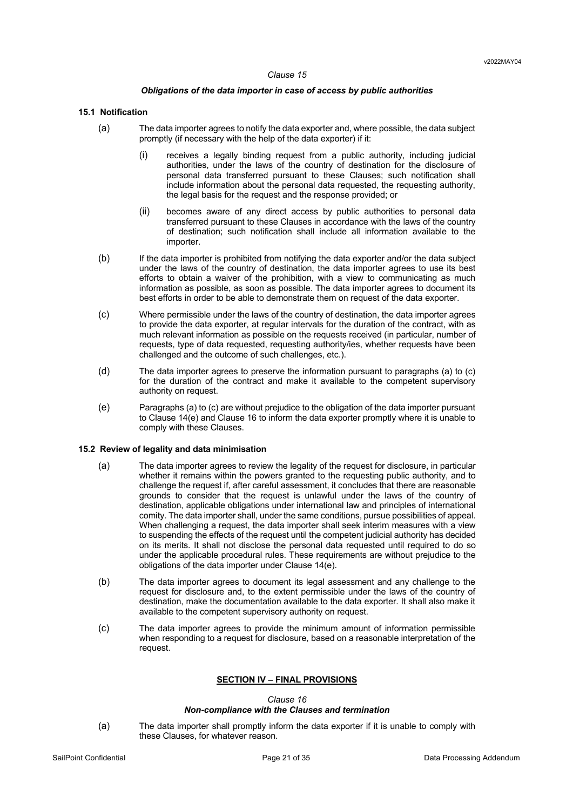#### *Clause 15*

## *Obligations of the data importer in case of access by public authorities*

#### **15.1 Notification**

- (a) The data importer agrees to notify the data exporter and, where possible, the data subject promptly (if necessary with the help of the data exporter) if it:
	- (i) receives a legally binding request from a public authority, including judicial authorities, under the laws of the country of destination for the disclosure of personal data transferred pursuant to these Clauses; such notification shall include information about the personal data requested, the requesting authority, the legal basis for the request and the response provided; or
	- (ii) becomes aware of any direct access by public authorities to personal data transferred pursuant to these Clauses in accordance with the laws of the country of destination; such notification shall include all information available to the importer.
- (b) If the data importer is prohibited from notifying the data exporter and/or the data subject under the laws of the country of destination, the data importer agrees to use its best efforts to obtain a waiver of the prohibition, with a view to communicating as much information as possible, as soon as possible. The data importer agrees to document its best efforts in order to be able to demonstrate them on request of the data exporter.
- (c) Where permissible under the laws of the country of destination, the data importer agrees to provide the data exporter, at regular intervals for the duration of the contract, with as much relevant information as possible on the requests received (in particular, number of requests, type of data requested, requesting authority/ies, whether requests have been challenged and the outcome of such challenges, etc.).
- (d) The data importer agrees to preserve the information pursuant to paragraphs (a) to (c) for the duration of the contract and make it available to the competent supervisory authority on request.
- (e) Paragraphs (a) to (c) are without prejudice to the obligation of the data importer pursuant to Clause 14(e) and Clause 16 to inform the data exporter promptly where it is unable to comply with these Clauses.

## **15.2 Review of legality and data minimisation**

- (a) The data importer agrees to review the legality of the request for disclosure, in particular whether it remains within the powers granted to the requesting public authority, and to challenge the request if, after careful assessment, it concludes that there are reasonable grounds to consider that the request is unlawful under the laws of the country of destination, applicable obligations under international law and principles of international comity. The data importer shall, under the same conditions, pursue possibilities of appeal. When challenging a request, the data importer shall seek interim measures with a view to suspending the effects of the request until the competent judicial authority has decided on its merits. It shall not disclose the personal data requested until required to do so under the applicable procedural rules. These requirements are without prejudice to the obligations of the data importer under Clause 14(e).
- (b) The data importer agrees to document its legal assessment and any challenge to the request for disclosure and, to the extent permissible under the laws of the country of destination, make the documentation available to the data exporter. It shall also make it available to the competent supervisory authority on request.
- (c) The data importer agrees to provide the minimum amount of information permissible when responding to a request for disclosure, based on a reasonable interpretation of the request.

## **SECTION IV – FINAL PROVISIONS**

## *Clause 16*

## *Non-compliance with the Clauses and termination*

(a) The data importer shall promptly inform the data exporter if it is unable to comply with these Clauses, for whatever reason.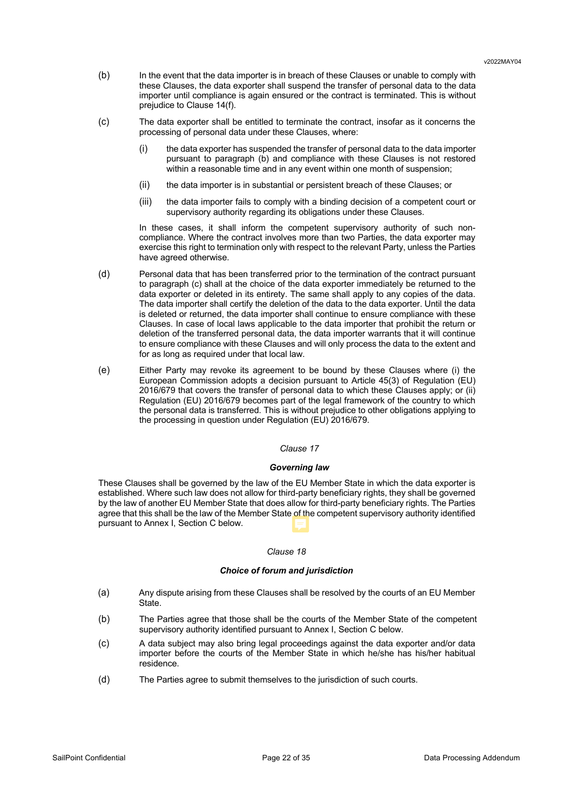- (b) In the event that the data importer is in breach of these Clauses or unable to comply with these Clauses, the data exporter shall suspend the transfer of personal data to the data importer until compliance is again ensured or the contract is terminated. This is without prejudice to Clause 14(f).
- (c) The data exporter shall be entitled to terminate the contract, insofar as it concerns the processing of personal data under these Clauses, where:
	- (i) the data exporter has suspended the transfer of personal data to the data importer pursuant to paragraph (b) and compliance with these Clauses is not restored within a reasonable time and in any event within one month of suspension;
	- (ii) the data importer is in substantial or persistent breach of these Clauses; or
	- (iii) the data importer fails to comply with a binding decision of a competent court or supervisory authority regarding its obligations under these Clauses.

In these cases, it shall inform the competent supervisory authority of such noncompliance. Where the contract involves more than two Parties, the data exporter may exercise this right to termination only with respect to the relevant Party, unless the Parties have agreed otherwise.

- (d) Personal data that has been transferred prior to the termination of the contract pursuant to paragraph (c) shall at the choice of the data exporter immediately be returned to the data exporter or deleted in its entirety. The same shall apply to any copies of the data. The data importer shall certify the deletion of the data to the data exporter. Until the data is deleted or returned, the data importer shall continue to ensure compliance with these Clauses. In case of local laws applicable to the data importer that prohibit the return or deletion of the transferred personal data, the data importer warrants that it will continue to ensure compliance with these Clauses and will only process the data to the extent and for as long as required under that local law.
- (e) Either Party may revoke its agreement to be bound by these Clauses where (i) the European Commission adopts a decision pursuant to Article 45(3) of Regulation (EU) 2016/679 that covers the transfer of personal data to which these Clauses apply; or (ii) Regulation (EU) 2016/679 becomes part of the legal framework of the country to which the personal data is transferred. This is without prejudice to other obligations applying to the processing in question under Regulation (EU) 2016/679.

## *Clause 17*

## *Governing law*

These Clauses shall be governed by the law of the EU Member State in which the data exporter is established. Where such law does not allow for third-party beneficiary rights, they shall be governed by the law of another EU Member State that does allow for third-party beneficiary rights. The Parties agree that this shall be the law of the Member State of the competent supervisory authority identified pursuant to Annex I, Section C below.

## *Clause 18*

## *Choice of forum and jurisdiction*

- (a) Any dispute arising from these Clauses shall be resolved by the courts of an EU Member State.
- (b) The Parties agree that those shall be the courts of the Member State of the competent supervisory authority identified pursuant to Annex I, Section C below.
- (c) A data subject may also bring legal proceedings against the data exporter and/or data importer before the courts of the Member State in which he/she has his/her habitual residence.
- (d) The Parties agree to submit themselves to the jurisdiction of such courts.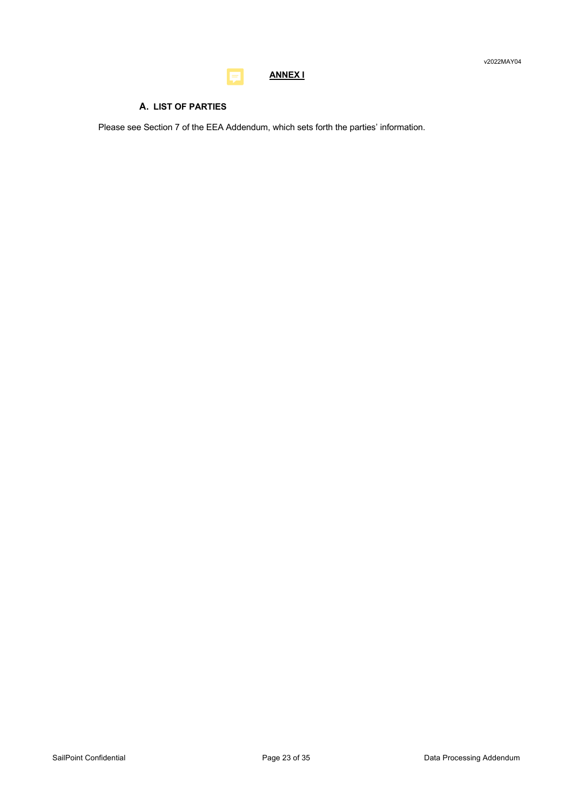# **<u>ANNEX I</u>**

# **A. LIST OF PARTIES**

Please see Section 7 of the EEA Addendum, which sets forth the parties' information.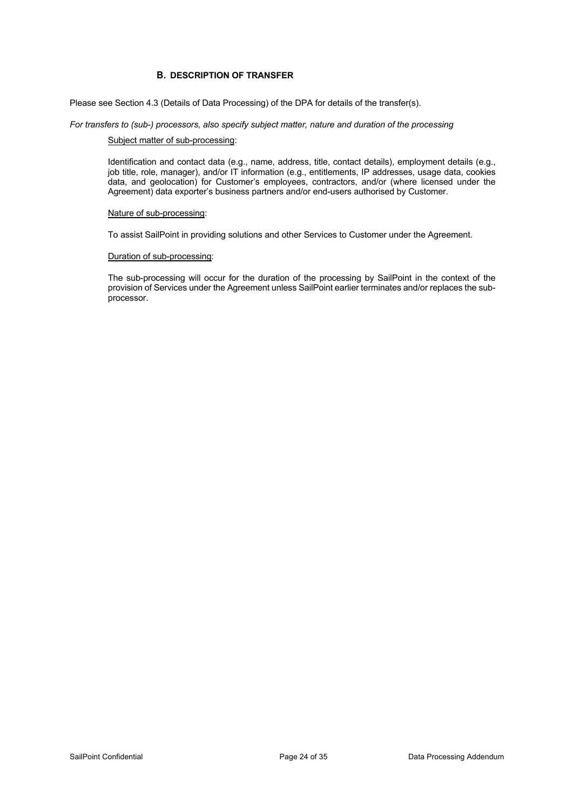## **B. DESCRIPTION OF TRANSFER**

Please see Section 4.3 (Details of Data Processing) of the DPA for details of the transfer(s).

*For transfers to (sub-) processors, also specify subject matter, nature and duration of the processing*

#### Subject matter of sub-processing:

Identification and contact data (e.g., name, address, title, contact details), employment details (e.g., job title, role, manager), and/or IT information (e.g., entitlements, IP addresses, usage data, cookies data, and geolocation) for Customer's employees, contractors, and/or (where licensed under the Agreement) data exporter's business partners and/or end-users authorised by Customer.

#### Nature of sub-processing:

To assist SailPoint in providing solutions and other Services to Customer under the Agreement.

#### Duration of sub-processing:

The sub-processing will occur for the duration of the processing by SailPoint in the context of the provision of Services under the Agreement unless SailPoint earlier terminates and/or replaces the subprocessor.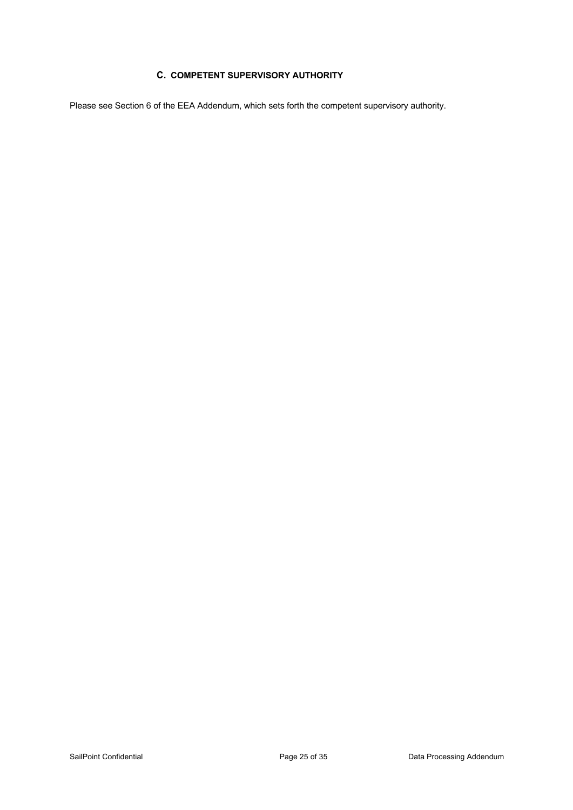# **C. COMPETENT SUPERVISORY AUTHORITY**

Please see Section 6 of the EEA Addendum, which sets forth the competent supervisory authority.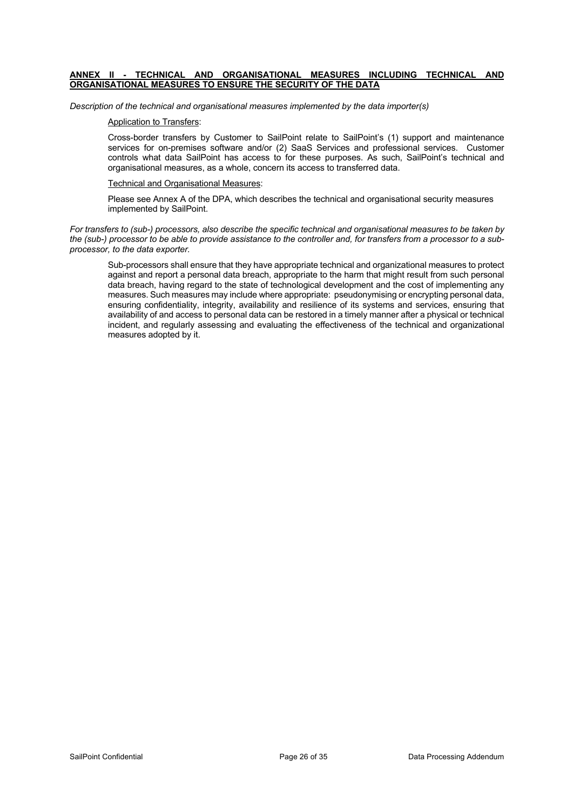## **ANNEX II - TECHNICAL AND ORGANISATIONAL MEASURES INCLUDING TECHNICAL AND ORGANISATIONAL MEASURES TO ENSURE THE SECURITY OF THE DATA**

*Description of the technical and organisational measures implemented by the data importer(s)*

## Application to Transfers:

Cross-border transfers by Customer to SailPoint relate to SailPoint's (1) support and maintenance services for on-premises software and/or (2) SaaS Services and professional services. Customer controls what data SailPoint has access to for these purposes. As such, SailPoint's technical and organisational measures, as a whole, concern its access to transferred data.

#### Technical and Organisational Measures:

Please see Annex A of the DPA, which describes the technical and organisational security measures implemented by SailPoint.

*For transfers to (sub-) processors, also describe the specific technical and organisational measures to be taken by the (sub-) processor to be able to provide assistance to the controller and, for transfers from a processor to a subprocessor, to the data exporter.*

Sub-processors shall ensure that they have appropriate technical and organizational measures to protect against and report a personal data breach, appropriate to the harm that might result from such personal data breach, having regard to the state of technological development and the cost of implementing any measures. Such measures may include where appropriate: pseudonymising or encrypting personal data, ensuring confidentiality, integrity, availability and resilience of its systems and services, ensuring that availability of and access to personal data can be restored in a timely manner after a physical or technical incident, and regularly assessing and evaluating the effectiveness of the technical and organizational measures adopted by it.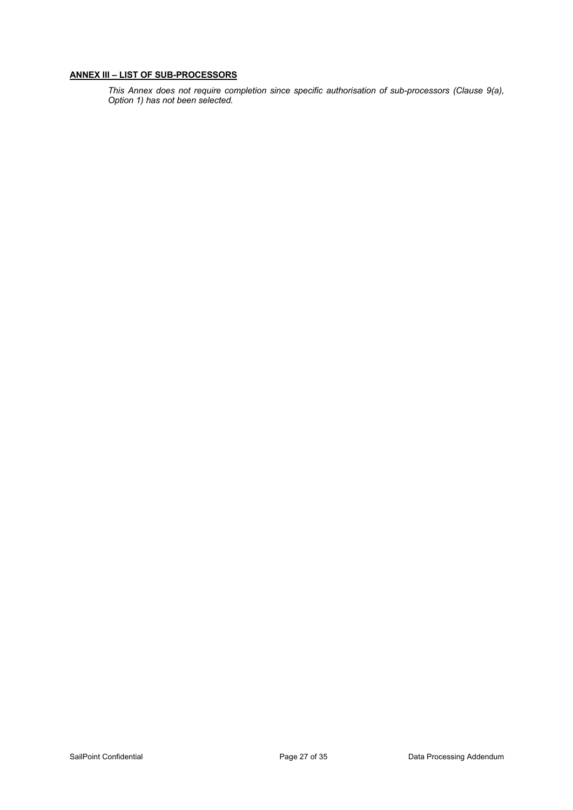# **ANNEX III – LIST OF SUB-PROCESSORS**

*This Annex does not require completion since specific authorisation of sub-processors (Clause 9(a), Option 1) has not been selected.*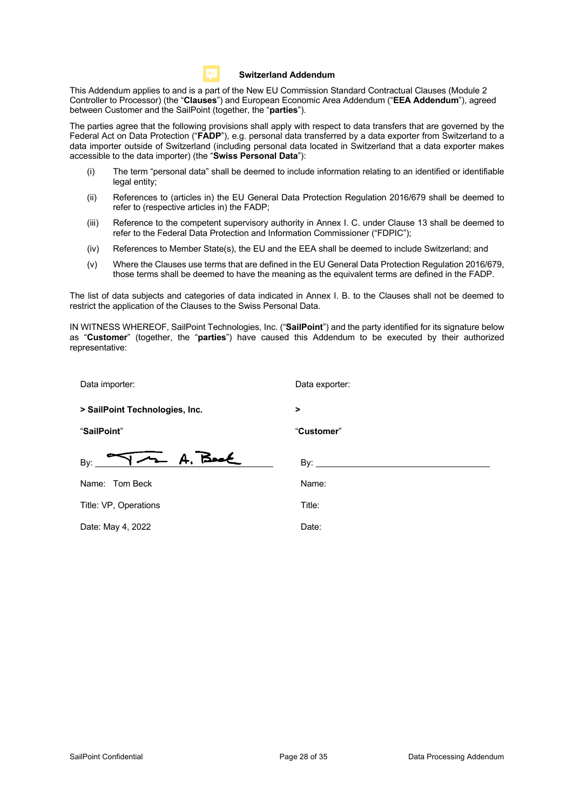

## **Switzerland Addendum**

This Addendum applies to and is a part of the New EU Commission Standard Contractual Clauses (Module 2 Controller to Processor) (the "**Clauses**") and European Economic Area Addendum ("**EEA Addendum**"), agreed between Customer and the SailPoint (together, the "**parties**").

The parties agree that the following provisions shall apply with respect to data transfers that are governed by the Federal Act on Data Protection ("**FADP**"), e.g. personal data transferred by a data exporter from Switzerland to a data importer outside of Switzerland (including personal data located in Switzerland that a data exporter makes accessible to the data importer) (the "**Swiss Personal Data**"):

- (i) The term "personal data" shall be deemed to include information relating to an identified or identifiable legal entity;
- (ii) References to (articles in) the EU General Data Protection Regulation 2016/679 shall be deemed to refer to (respective articles in) the FADP;
- (iii) Reference to the competent supervisory authority in Annex I. C. under Clause 13 shall be deemed to refer to the Federal Data Protection and Information Commissioner ("FDPIC");
- (iv) References to Member State(s), the EU and the EEA shall be deemed to include Switzerland; and
- (v) Where the Clauses use terms that are defined in the EU General Data Protection Regulation 2016/679, those terms shall be deemed to have the meaning as the equivalent terms are defined in the FADP.

The list of data subjects and categories of data indicated in Annex I. B. to the Clauses shall not be deemed to restrict the application of the Clauses to the Swiss Personal Data.

IN WITNESS WHEREOF, SailPoint Technologies, Inc. ("**SailPoint**") and the party identified for its signature below as "**Customer**" (together, the "**parties**") have caused this Addendum to be executed by their authorized representative:

| Data importer:                             | Data exporter: |
|--------------------------------------------|----------------|
| > SailPoint Technologies, Inc.             | >              |
| "SailPoint"                                | "Customer"     |
| A. Back<br>$\overline{\phantom{a}}$<br>By: | By:            |
| Name: Tom Beck                             | Name:          |
| Title: VP, Operations                      | Title:         |
| Date: May 4, 2022                          | Date:          |
|                                            |                |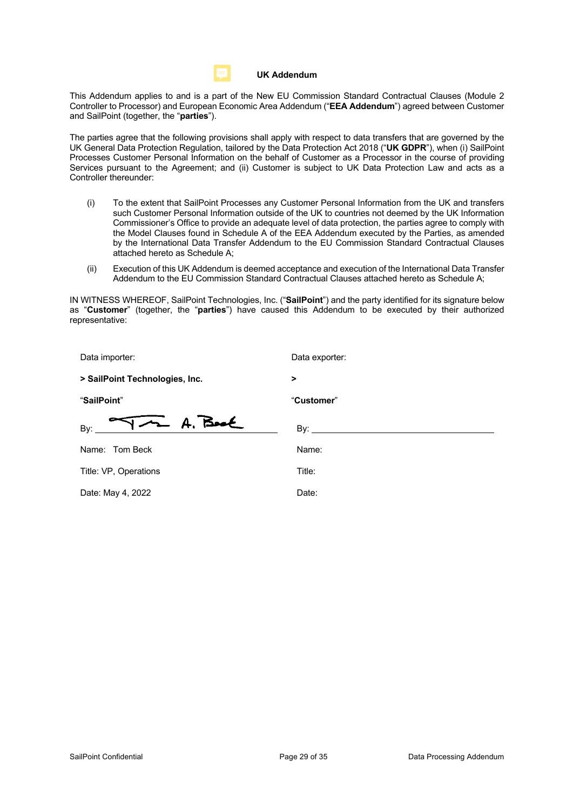

## **UK Addendum**

This Addendum applies to and is a part of the New EU Commission Standard Contractual Clauses (Module 2 Controller to Processor) and European Economic Area Addendum ("**EEA Addendum**") agreed between Customer and SailPoint (together, the "**parties**").

The parties agree that the following provisions shall apply with respect to data transfers that are governed by the UK General Data Protection Regulation, tailored by the Data Protection Act 2018 ("**UK GDPR**"), when (i) SailPoint Processes Customer Personal Information on the behalf of Customer as a Processor in the course of providing Services pursuant to the Agreement; and (ii) Customer is subject to UK Data Protection Law and acts as a Controller thereunder:

- (i) To the extent that SailPoint Processes any Customer Personal Information from the UK and transfers such Customer Personal Information outside of the UK to countries not deemed by the UK Information Commissioner's Office to provide an adequate level of data protection, the parties agree to comply with the Model Clauses found in Schedule A of the EEA Addendum executed by the Parties, as amended by the International Data Transfer Addendum to the EU Commission Standard Contractual Clauses attached hereto as Schedule A;
- (ii) Execution of this UK Addendum is deemed acceptance and execution of the International Data Transfer Addendum to the EU Commission Standard Contractual Clauses attached hereto as Schedule A;

IN WITNESS WHEREOF, SailPoint Technologies, Inc. ("**SailPoint**") and the party identified for its signature below as "**Customer**" (together, the "**parties**") have caused this Addendum to be executed by their authorized representative:

| Data importer:                              | Data exporter:      |  |
|---------------------------------------------|---------------------|--|
| > SailPoint Technologies, Inc.              | >                   |  |
| "SailPoint"                                 | "Customer"          |  |
| $\bar{y}$ / $\sim$ $\sim$ $A$ . Beal<br>By: | By: $\qquad \qquad$ |  |
| Name: Tom Beck                              | Name:               |  |
| Title: VP, Operations                       | Title:              |  |
| Date: May 4, 2022                           | Date:               |  |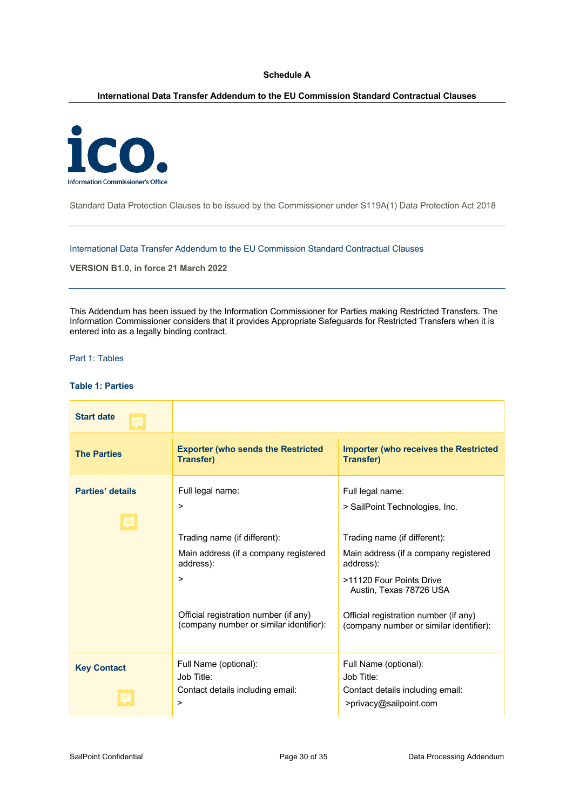## **Schedule A**

## **International Data Transfer Addendum to the EU Commission Standard Contractual Clauses**



Standard Data Protection Clauses to be issued by the Commissioner under S119A(1) Data Protection Act 2018

## International Data Transfer Addendum to the EU Commission Standard Contractual Clauses

**VERSION B1.0, in force 21 March 2022**

This Addendum has been issued by the Information Commissioner for Parties making Restricted Transfers. The Information Commissioner considers that it provides Appropriate Safeguards for Restricted Transfers when it is entered into as a legally binding contract.

Part 1: Tables

# **Table 1: Parties**

| <b>Start date</b><br>$\equiv$ |                                                                                                                                                                                                           |                                                                                                                                                                                                                                                                                     |
|-------------------------------|-----------------------------------------------------------------------------------------------------------------------------------------------------------------------------------------------------------|-------------------------------------------------------------------------------------------------------------------------------------------------------------------------------------------------------------------------------------------------------------------------------------|
| <b>The Parties</b>            | <b>Exporter (who sends the Restricted</b><br><b>Transfer)</b>                                                                                                                                             | <b>Importer (who receives the Restricted</b><br><b>Transfer)</b>                                                                                                                                                                                                                    |
| <b>Parties' details</b>       | Full legal name:<br>$\geq$<br>Trading name (if different):<br>Main address (if a company registered<br>address):<br>><br>Official registration number (if any)<br>(company number or similar identifier): | Full legal name:<br>> SailPoint Technologies, Inc.<br>Trading name (if different):<br>Main address (if a company registered<br>address):<br>>11120 Four Points Drive<br>Austin, Texas 78726 USA<br>Official registration number (if any)<br>(company number or similar identifier): |
| <b>Key Contact</b>            | Full Name (optional):<br>Job Title:<br>Contact details including email:<br>>                                                                                                                              | Full Name (optional):<br>Job Title:<br>Contact details including email:<br>>privacy@sailpoint.com                                                                                                                                                                                   |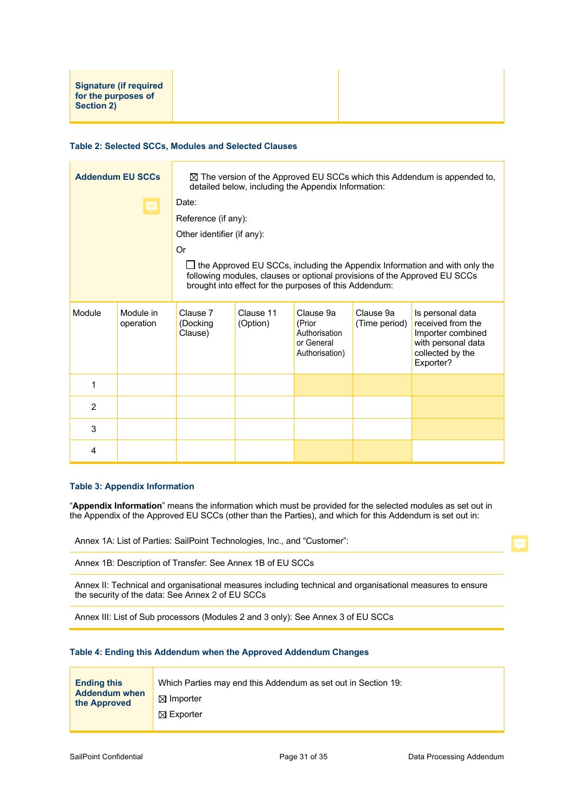|--|--|

## **Table 2: Selected SCCs, Modules and Selected Clauses**

| <b>Addendum EU SCCs</b><br>$\boxtimes$ The version of the Approved EU SCCs which this Addendum is appended to,<br>detailed below, including the Appendix Information:<br>Date:<br>厚<br>Reference (if any):<br>Other identifier (if any):<br>Or<br>$\Box$ the Approved EU SCCs, including the Appendix Information and with only the<br>following modules, clauses or optional provisions of the Approved EU SCCs<br>brought into effect for the purposes of this Addendum: |                        |                                 |                       |                                                                      |                            |                                                                                                                   |
|----------------------------------------------------------------------------------------------------------------------------------------------------------------------------------------------------------------------------------------------------------------------------------------------------------------------------------------------------------------------------------------------------------------------------------------------------------------------------|------------------------|---------------------------------|-----------------------|----------------------------------------------------------------------|----------------------------|-------------------------------------------------------------------------------------------------------------------|
| Module                                                                                                                                                                                                                                                                                                                                                                                                                                                                     | Module in<br>operation | Clause 7<br>(Docking<br>Clause) | Clause 11<br>(Option) | Clause 9a<br>(Prior<br>Authorisation<br>or General<br>Authorisation) | Clause 9a<br>(Time period) | Is personal data<br>received from the<br>Importer combined<br>with personal data<br>collected by the<br>Exporter? |
| 1                                                                                                                                                                                                                                                                                                                                                                                                                                                                          |                        |                                 |                       |                                                                      |                            |                                                                                                                   |
| 2                                                                                                                                                                                                                                                                                                                                                                                                                                                                          |                        |                                 |                       |                                                                      |                            |                                                                                                                   |
| 3                                                                                                                                                                                                                                                                                                                                                                                                                                                                          |                        |                                 |                       |                                                                      |                            |                                                                                                                   |
| 4                                                                                                                                                                                                                                                                                                                                                                                                                                                                          |                        |                                 |                       |                                                                      |                            |                                                                                                                   |

## **Table 3: Appendix Information**

"**Appendix Information**" means the information which must be provided for the selected modules as set out in the Appendix of the Approved EU SCCs (other than the Parties), and which for this Addendum is set out in:

Annex 1A: List of Parties: SailPoint Technologies, Inc., and "Customer":

Annex 1B: Description of Transfer: See Annex 1B of EU SCCs

Annex II: Technical and organisational measures including technical and organisational measures to ensure the security of the data: See Annex 2 of EU SCCs

Annex III: List of Sub processors (Modules 2 and 3 only): See Annex 3 of EU SCCs

#### **Table 4: Ending this Addendum when the Approved Addendum Changes**

| <b>Ending this</b>                   | Which Parties may end this Addendum as set out in Section 19: |
|--------------------------------------|---------------------------------------------------------------|
| <b>Addendum when</b><br>the Approved | $\boxtimes$ Importer                                          |
|                                      | $\boxtimes$ Exporter                                          |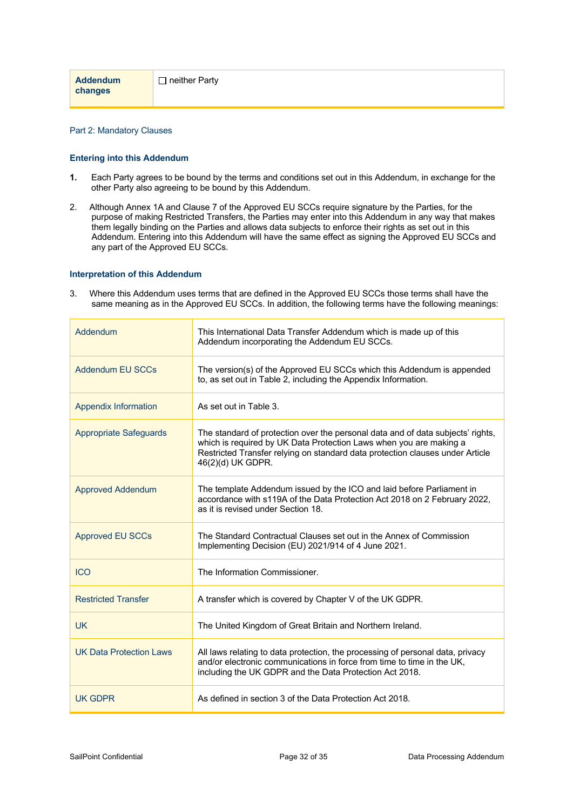Part 2: Mandatory Clauses

## **Entering into this Addendum**

- **1.** Each Party agrees to be bound by the terms and conditions set out in this Addendum, in exchange for the other Party also agreeing to be bound by this Addendum.
- 2. Although Annex 1A and Clause 7 of the Approved EU SCCs require signature by the Parties, for the purpose of making Restricted Transfers, the Parties may enter into this Addendum in any way that makes them legally binding on the Parties and allows data subjects to enforce their rights as set out in this Addendum. Entering into this Addendum will have the same effect as signing the Approved EU SCCs and any part of the Approved EU SCCs.

## **Interpretation of this Addendum**

3. Where this Addendum uses terms that are defined in the Approved EU SCCs those terms shall have the same meaning as in the Approved EU SCCs. In addition, the following terms have the following meanings:

| Addendum                       | This International Data Transfer Addendum which is made up of this<br>Addendum incorporating the Addendum EU SCCs.                                                                                                                                          |
|--------------------------------|-------------------------------------------------------------------------------------------------------------------------------------------------------------------------------------------------------------------------------------------------------------|
| Addendum EU SCCs               | The version(s) of the Approved EU SCCs which this Addendum is appended<br>to, as set out in Table 2, including the Appendix Information.                                                                                                                    |
| <b>Appendix Information</b>    | As set out in Table 3.                                                                                                                                                                                                                                      |
| <b>Appropriate Safeguards</b>  | The standard of protection over the personal data and of data subjects' rights,<br>which is required by UK Data Protection Laws when you are making a<br>Restricted Transfer relying on standard data protection clauses under Article<br>46(2)(d) UK GDPR. |
| <b>Approved Addendum</b>       | The template Addendum issued by the ICO and laid before Parliament in<br>accordance with s119A of the Data Protection Act 2018 on 2 February 2022,<br>as it is revised under Section 18.                                                                    |
| <b>Approved EU SCCs</b>        | The Standard Contractual Clauses set out in the Annex of Commission<br>Implementing Decision (EU) 2021/914 of 4 June 2021.                                                                                                                                  |
| <b>ICO</b>                     | The Information Commissioner.                                                                                                                                                                                                                               |
| <b>Restricted Transfer</b>     | A transfer which is covered by Chapter V of the UK GDPR.                                                                                                                                                                                                    |
| <b>UK</b>                      | The United Kingdom of Great Britain and Northern Ireland.                                                                                                                                                                                                   |
| <b>UK Data Protection Laws</b> | All laws relating to data protection, the processing of personal data, privacy<br>and/or electronic communications in force from time to time in the UK,<br>including the UK GDPR and the Data Protection Act 2018.                                         |
| <b>UK GDPR</b>                 | As defined in section 3 of the Data Protection Act 2018.                                                                                                                                                                                                    |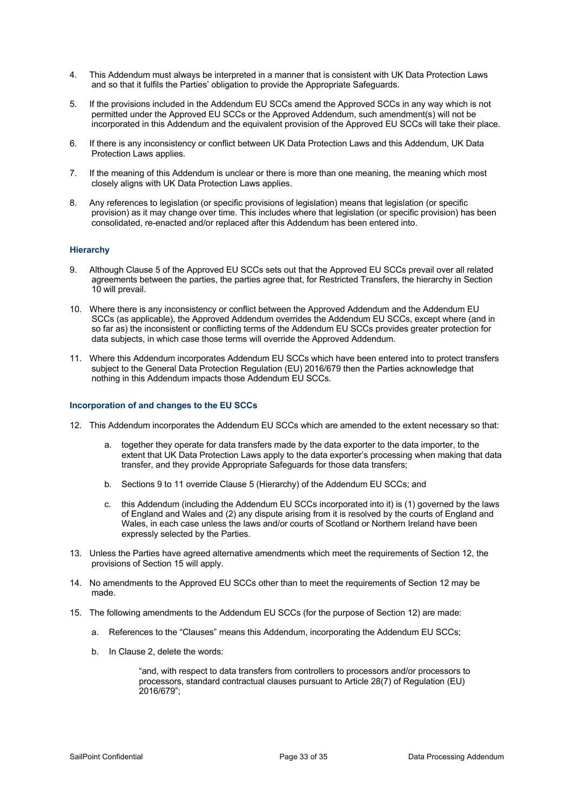- 4. This Addendum must always be interpreted in a manner that is consistent with UK Data Protection Laws and so that it fulfils the Parties' obligation to provide the Appropriate Safeguards.
- 5. If the provisions included in the Addendum EU SCCs amend the Approved SCCs in any way which is not permitted under the Approved EU SCCs or the Approved Addendum, such amendment(s) will not be incorporated in this Addendum and the equivalent provision of the Approved EU SCCs will take their place.
- 6. If there is any inconsistency or conflict between UK Data Protection Laws and this Addendum, UK Data Protection Laws applies.
- 7. If the meaning of this Addendum is unclear or there is more than one meaning, the meaning which most closely aligns with UK Data Protection Laws applies.
- 8. Any references to legislation (or specific provisions of legislation) means that legislation (or specific provision) as it may change over time. This includes where that legislation (or specific provision) has been consolidated, re-enacted and/or replaced after this Addendum has been entered into.

## **Hierarchy**

- 9. Although Clause 5 of the Approved EU SCCs sets out that the Approved EU SCCs prevail over all related agreements between the parties, the parties agree that, for Restricted Transfers, the hierarchy in Section 10 will prevail.
- 10. Where there is any inconsistency or conflict between the Approved Addendum and the Addendum EU SCCs (as applicable), the Approved Addendum overrides the Addendum EU SCCs, except where (and in so far as) the inconsistent or conflicting terms of the Addendum EU SCCs provides greater protection for data subjects, in which case those terms will override the Approved Addendum.
- 11. Where this Addendum incorporates Addendum EU SCCs which have been entered into to protect transfers subject to the General Data Protection Regulation (EU) 2016/679 then the Parties acknowledge that nothing in this Addendum impacts those Addendum EU SCCs.

## **Incorporation of and changes to the EU SCCs**

- 12. This Addendum incorporates the Addendum EU SCCs which are amended to the extent necessary so that:
	- a. together they operate for data transfers made by the data exporter to the data importer, to the extent that UK Data Protection Laws apply to the data exporter's processing when making that data transfer, and they provide Appropriate Safeguards for those data transfers;
	- b. Sections 9 to 11 override Clause 5 (Hierarchy) of the Addendum EU SCCs; and
	- c. this Addendum (including the Addendum EU SCCs incorporated into it) is (1) governed by the laws of England and Wales and (2) any dispute arising from it is resolved by the courts of England and Wales, in each case unless the laws and/or courts of Scotland or Northern Ireland have been expressly selected by the Parties.
- 13. Unless the Parties have agreed alternative amendments which meet the requirements of Section 12, the provisions of Section 15 will apply.
- 14. No amendments to the Approved EU SCCs other than to meet the requirements of Section 12 may be made.
- 15. The following amendments to the Addendum EU SCCs (for the purpose of Section 12) are made:
	- a. References to the "Clauses" means this Addendum, incorporating the Addendum EU SCCs;
	- b. In Clause 2, delete the words:

"and, with respect to data transfers from controllers to processors and/or processors to processors, standard contractual clauses pursuant to Article 28(7) of Regulation (EU) 2016/679";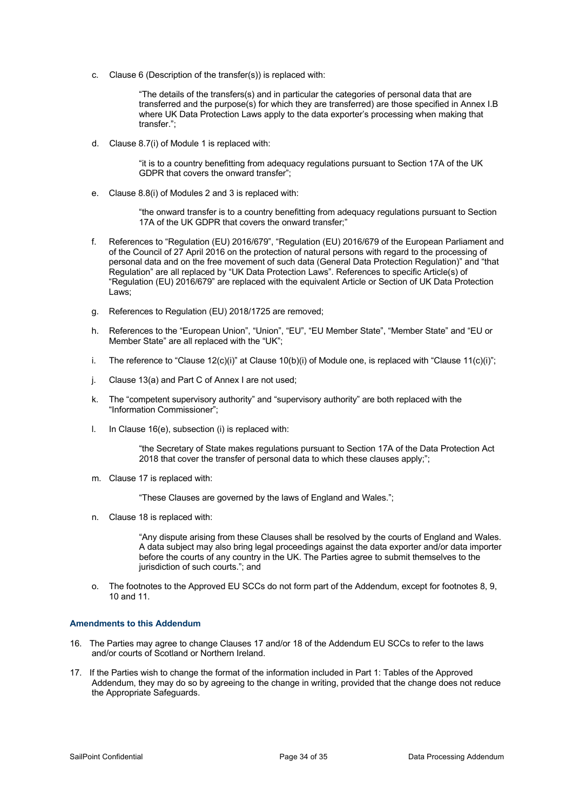c. Clause 6 (Description of the transfer(s)) is replaced with:

"The details of the transfers(s) and in particular the categories of personal data that are transferred and the purpose(s) for which they are transferred) are those specified in Annex I.B where UK Data Protection Laws apply to the data exporter's processing when making that transfer.";

d. Clause 8.7(i) of Module 1 is replaced with:

"it is to a country benefitting from adequacy regulations pursuant to Section 17A of the UK GDPR that covers the onward transfer";

e. Clause 8.8(i) of Modules 2 and 3 is replaced with:

"the onward transfer is to a country benefitting from adequacy regulations pursuant to Section 17A of the UK GDPR that covers the onward transfer;"

- f. References to "Regulation (EU) 2016/679", "Regulation (EU) 2016/679 of the European Parliament and of the Council of 27 April 2016 on the protection of natural persons with regard to the processing of personal data and on the free movement of such data (General Data Protection Regulation)" and "that Regulation" are all replaced by "UK Data Protection Laws". References to specific Article(s) of "Regulation (EU) 2016/679" are replaced with the equivalent Article or Section of UK Data Protection Laws;
- g. References to Regulation (EU) 2018/1725 are removed;
- h. References to the "European Union", "Union", "EU", "EU Member State", "Member State" and "EU or Member State" are all replaced with the "UK";
- i. The reference to "Clause  $12(c)(i)$ " at Clause  $10(b)(i)$  of Module one, is replaced with "Clause  $11(c)(i)$ ";
- j. Clause 13(a) and Part C of Annex I are not used;
- k. The "competent supervisory authority" and "supervisory authority" are both replaced with the "Information Commissioner";
- l. In Clause 16(e), subsection (i) is replaced with:

"the Secretary of State makes regulations pursuant to Section 17A of the Data Protection Act 2018 that cover the transfer of personal data to which these clauses apply;";

m. Clause 17 is replaced with:

"These Clauses are governed by the laws of England and Wales.";

n. Clause 18 is replaced with:

"Any dispute arising from these Clauses shall be resolved by the courts of England and Wales. A data subject may also bring legal proceedings against the data exporter and/or data importer before the courts of any country in the UK. The Parties agree to submit themselves to the jurisdiction of such courts."; and

o. The footnotes to the Approved EU SCCs do not form part of the Addendum, except for footnotes 8, 9, 10 and 11.

## **Amendments to this Addendum**

- 16. The Parties may agree to change Clauses 17 and/or 18 of the Addendum EU SCCs to refer to the laws and/or courts of Scotland or Northern Ireland.
- 17. If the Parties wish to change the format of the information included in Part 1: Tables of the Approved Addendum, they may do so by agreeing to the change in writing, provided that the change does not reduce the Appropriate Safeguards.